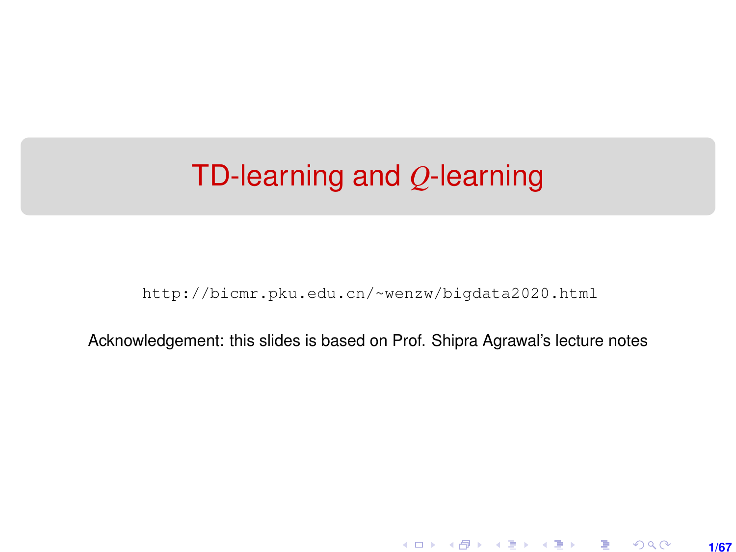## <span id="page-0-0"></span>TD-learning and *Q*-learning

[http://bicmr.pku.edu.cn/~wenzw/bigdata2020.html](http://bicmr.pku.edu.cn/~wenzw/bigdata2020.html )

Acknowledgement: this slides is based on Prof. Shipra Agrawal's lecture notes

**1/67**

K ロ ▶ K 레 ▶ K 호 ▶ K 호 ▶ → 호 → 900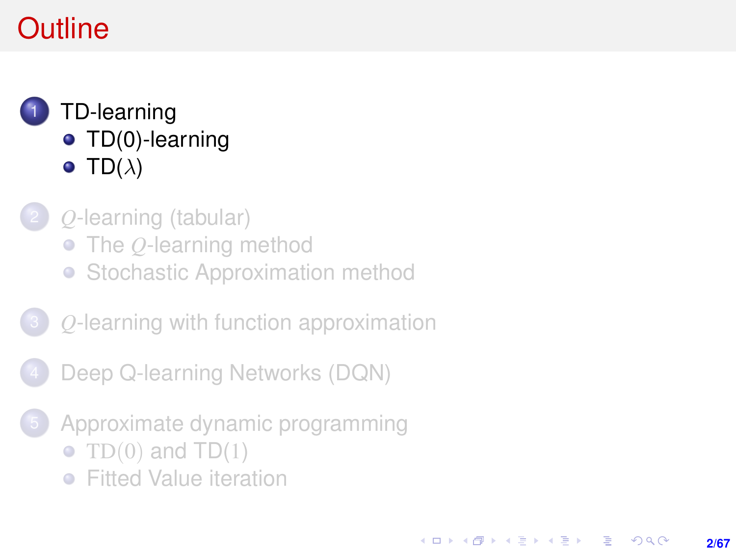# <span id="page-1-0"></span>**Outline**

#### 1 [TD-learning](#page-1-0) • [TD\(0\)-learning](#page-4-0)  $\bullet$  [TD\(](#page-16-0) $\lambda$ )

- 2 *Q*[-learning \(tabular\)](#page-19-0)
	- The *Q*[-learning method](#page-20-0)
	- [Stochastic Approximation method](#page-27-0)

#### 3 *Q*[-learning with function approximation](#page-29-0)

- [Deep Q-learning Networks \(DQN\)](#page-34-0)
- [Approximate dynamic programming](#page-54-0)
	- TD $(0)$  and TD $(1)$
	- **•** [Fitted Value iteration](#page-57-0)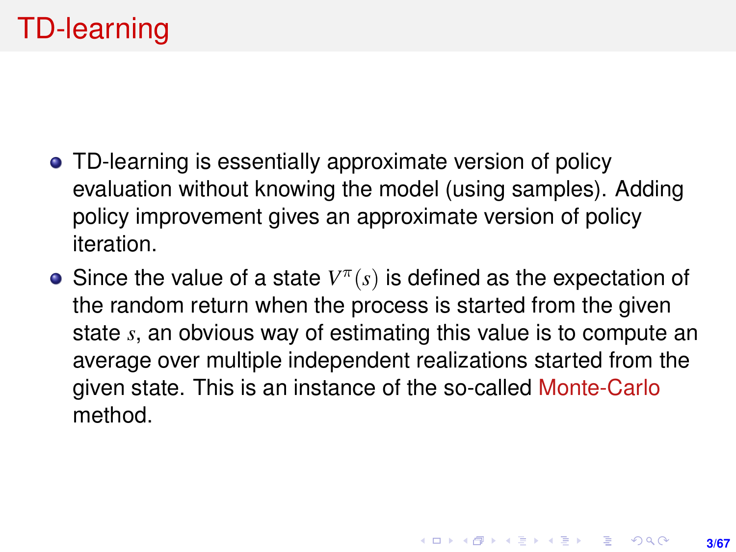- TD-learning is essentially approximate version of policy evaluation without knowing the model (using samples). Adding policy improvement gives an approximate version of policy iteration.
- Since the value of a state  $V^{\pi}(s)$  is defined as the expectation of the random return when the process is started from the given state *s*, an obvious way of estimating this value is to compute an average over multiple independent realizations started from the given state. This is an instance of the so-called Monte-Carlo method.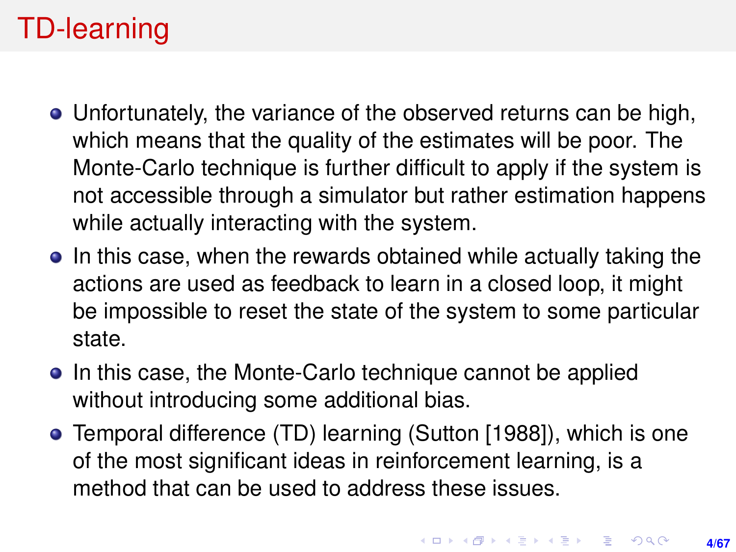# TD-learning

- Unfortunately, the variance of the observed returns can be high, which means that the quality of the estimates will be poor. The Monte-Carlo technique is further difficult to apply if the system is not accessible through a simulator but rather estimation happens while actually interacting with the system.
- In this case, when the rewards obtained while actually taking the actions are used as feedback to learn in a closed loop, it might be impossible to reset the state of the system to some particular state.
- In this case, the Monte-Carlo technique cannot be applied without introducing some additional bias.
- Temporal difference (TD) learning (Sutton [1988]), which is one of the most significant ideas in reinforcement learning, is a method that can be used to address these issues.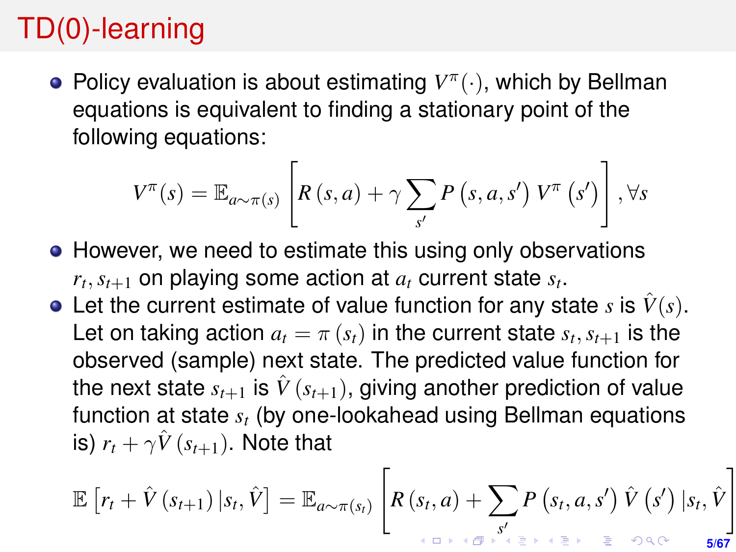# <span id="page-4-0"></span>TD(0)-learning

Policy evaluation is about estimating  $V^{\pi}(\cdot)$ , which by Bellman equations is equivalent to finding a stationary point of the following equations:

$$
V^{\pi}(s) = \mathbb{E}_{a \sim \pi(s)} \left[ R(s, a) + \gamma \sum_{s'} P(s, a, s') V^{\pi}(s') \right], \forall s
$$

- However, we need to estimate this using only observations  $r_t, s_{t+1}$  on playing some action at  $a_t$  current state  $s_t$ .
- Let the current estimate of value function for any state *s* is  $\hat{V}(s)$ . Let on taking action  $a_t = \pi(s_t)$  in the current state  $s_t, s_{t+1}$  is the observed (sample) next state. The predicted value function for the next state  $s_{t+1}$  is  $\hat{V}(s_{t+1})$ , giving another prediction of value function at state *s<sup>t</sup>* (by one-lookahead using Bellman equations is)  $r_t + \gamma \hat{V}(s_{t+1})$ . Note that

$$
\mathbb{E}\left[r_t + \hat{V}\left(s_{t+1}\right)|s_t, \hat{V}\right] = \mathbb{E}_{a \sim \pi(s_t)}\left[R\left(s_t, a\right) + \sum_{s \in \mathbb{F}^{\times}} P\left(s_t, a, s'\right) \hat{V}\left(s'\right)|s_t, \hat{V}\right]
$$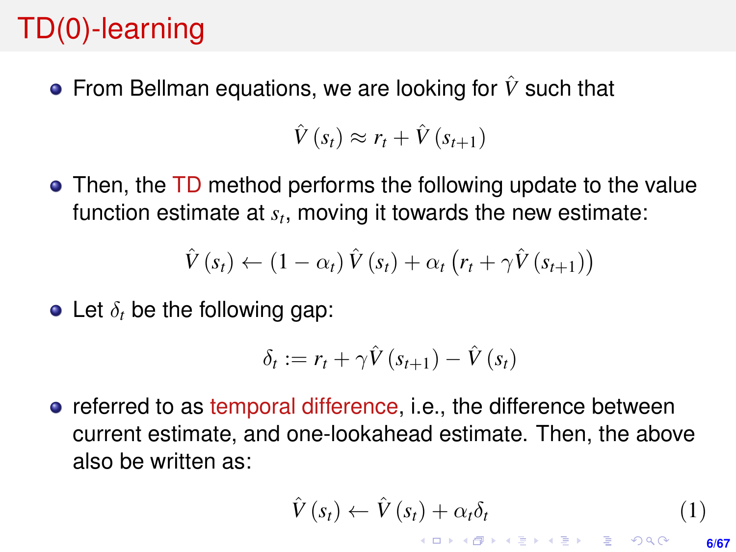# <span id="page-5-0"></span>TD(0)-learning

■ From Bellman equations, we are looking for  $\hat{V}$  such that

 $\hat{V}(s_t) \approx r_t + \hat{V}(s_{t+1})$ 

• Then, the TD method performs the following update to the value function estimate at *s<sup>t</sup>* , moving it towards the new estimate:

$$
\hat{V}(s_t) \leftarrow (1 - \alpha_t) \hat{V}(s_t) + \alpha_t (r_t + \gamma \hat{V}(s_{t+1}))
$$

 $\bullet$  Let  $\delta_t$  be the following gap:

$$
\delta_t := r_t + \gamma \hat{V}(s_{t+1}) - \hat{V}(s_t)
$$

**•** referred to as temporal difference, i.e., the difference between current estimate, and one-lookahead estimate. Then, the above also be written as:

$$
\hat{V}(s_t) \leftarrow \hat{V}(s_t) + \alpha_t \delta_t \tag{1}
$$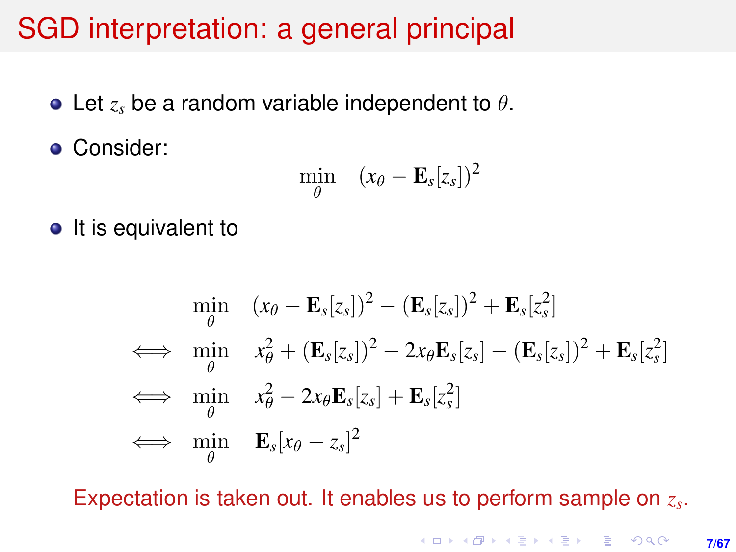### SGD interpretation: a general principal

- Let *z<sup>s</sup>* be a random variable independent to θ.
- **Consider:**

$$
\min_{\theta} \quad (x_{\theta} - \mathbf{E}_s[z_s])^2
$$

 $\bullet$  It is equivalent to

$$
\min_{\theta} \quad (x_{\theta} - \mathbf{E}_{s}[z_{s}])^{2} - (\mathbf{E}_{s}[z_{s}])^{2} + \mathbf{E}_{s}[z_{s}^{2}]
$$
\n
$$
\iff \min_{\theta} \quad x_{\theta}^{2} + (\mathbf{E}_{s}[z_{s}])^{2} - 2x_{\theta}\mathbf{E}_{s}[z_{s}] - (\mathbf{E}_{s}[z_{s}])^{2} + \mathbf{E}_{s}[z_{s}^{2}]
$$
\n
$$
\iff \min_{\theta} \quad x_{\theta}^{2} - 2x_{\theta}\mathbf{E}_{s}[z_{s}] + \mathbf{E}_{s}[z_{s}^{2}]
$$
\n
$$
\iff \min_{\theta} \quad \mathbf{E}_{s}[x_{\theta} - z_{s}]^{2}
$$

Expectation is taken out. It enables us to perform sample on *z<sup>s</sup>* .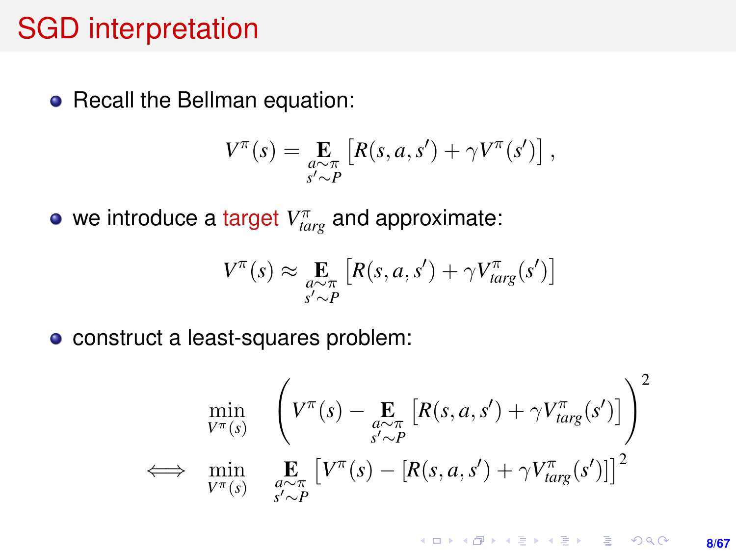#### SGD interpretation

• Recall the Bellman equation:

$$
V^{\pi}(s) = \mathop{\mathbf{E}}_{\substack{a \sim \pi \\ s' \sim P}} \left[ R(s, a, s') + \gamma V^{\pi}(s') \right],
$$

we introduce a target  $V_{targ}^{\pi}$  and approximate:

$$
V^{\pi}(s) \approx \mathop{\mathbf{E}}_{\substack{a \sim \pi \\ s' \sim P}} \left[ R(s, a, s') + \gamma V_{targ}^{\pi}(s') \right]
$$

construct a least-squares problem:

$$
\min_{V^{\pi}(s)} \quad \left( V^{\pi}(s) - \underset{s' \sim P}{\mathbf{E}} \left[ R(s, a, s') + \gamma V_{targ}^{\pi}(s') \right] \right)^2
$$
\n
$$
\iff \min_{V^{\pi}(s)} \quad \underset{s' \sim P}{\mathbf{E}} \left[ V^{\pi}(s) - \left[ R(s, a, s') + \gamma V_{targ}^{\pi}(s') \right] \right]^2
$$

**KOD KAD KED KED E YOUR 8/67**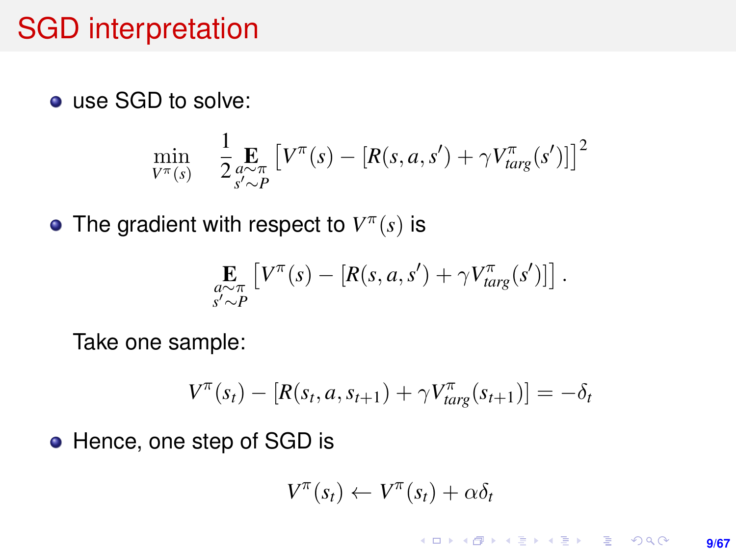#### SGD interpretation

● use SGD to solve:

$$
\min_{V^{\pi}(s)} \quad \frac{1}{2} \underset{s' \sim P}{\underset{s' \sim P}{\text{E}}} \left[ V^{\pi}(s) - \left[ R(s, a, s') + \gamma V_{targ}^{\pi}(s') \right] \right]^2
$$

The gradient with respect to  $V^{\pi}(s)$  is

$$
\mathop{\mathbf{E}}_{\substack{a \sim \pi \\ s' \sim P}} \left[ V^{\pi}(s) - \left[ R(s, a, s') + \gamma V^{\pi}_{targ}(s') \right] \right].
$$

Take one sample:

$$
V^{\pi}(s_t) - [R(s_t, a, s_{t+1}) + \gamma V_{targ}^{\pi}(s_{t+1})] = -\delta_t
$$

• Hence, one step of SGD is

$$
V^{\pi}(s_t) \leftarrow V^{\pi}(s_t) + \alpha \delta_t
$$

**KOD KAD KED KED E YOUR 9/67**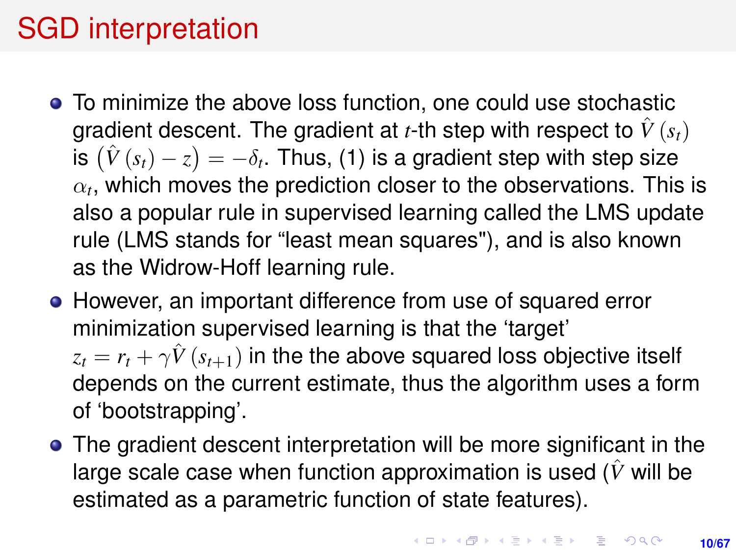## SGD interpretation

- To minimize the above loss function, one could use stochastic gradient descent. The gradient at *t*-th step with respect to  $\hat{V}(s_t)$ is  $(\hat{V}\left(s_{t}\right)-z)=-\delta_{t}.$  Thus, (1) is a gradient step with step size  $\alpha_t$ , which moves the prediction closer to the observations. This is also a popular rule in supervised learning called the LMS update rule (LMS stands for "least mean squares"), and is also known as the Widrow-Hoff learning rule.
- However, an important difference from use of squared error minimization supervised learning is that the 'target'  $z_t = r_t + \gamma \hat{V}(s_{t+1})$  in the the above squared loss objective itself depends on the current estimate, thus the algorithm uses a form of 'bootstrapping'.
- The gradient descent interpretation will be more significant in the large scale case when function approximation is used ( $\hat{V}$  will be estimated as a parametric function of state features).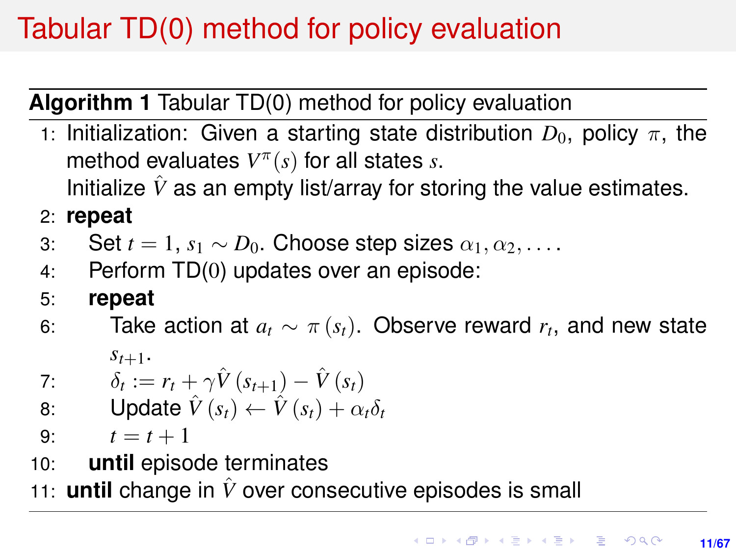# <span id="page-10-0"></span>Tabular TD(0) method for policy evaluation

**Algorithm 1** Tabular TD(0) method for policy evaluation

1: Initialization: Given a starting state distribution  $D_0$ , policy  $\pi$ , the method evaluates  $V^{\pi}(s)$  for all states *s*.

Initialize  $\hat{V}$  as an empty list/array for storing the value estimates.

2: **repeat**

- 3: Set  $t = 1$ ,  $s_1 \sim D_0$ . Choose step sizes  $\alpha_1, \alpha_2, \ldots$ .
- 4: Perform TD(0) updates over an episode:
- 5: **repeat**
- 6: Take action at  $a_t \sim \pi(s_t)$ . Observe reward  $r_t$ , and new state  $S_{t+1}$ .

7: 
$$
\delta_t := r_t + \gamma \hat{V}(s_{t+1}) - \hat{V}(s_t)
$$

8: Update  $\hat{V}(s_t) \leftarrow \hat{V}(s_t) + \alpha_t \delta_t$ 

9:  $t = t + 1$ 

- 10: **until** episode terminates
- 11: **until** change in *V*ˆ over consecutive episodes is small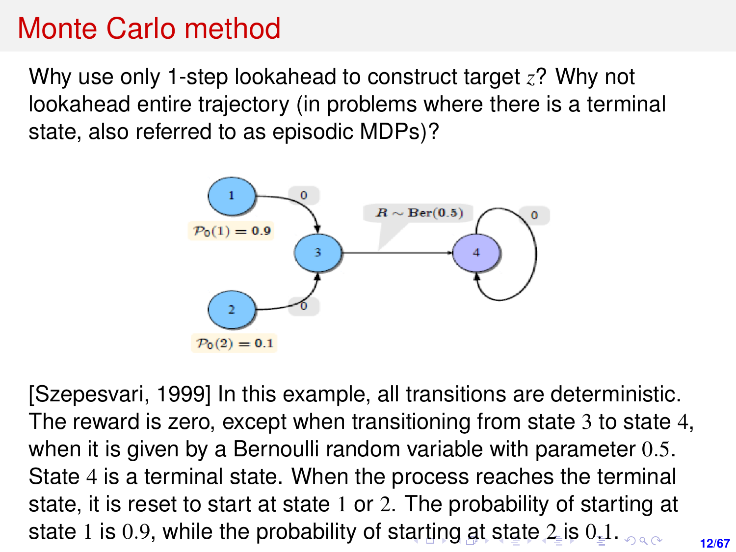### <span id="page-11-0"></span>Monte Carlo method

Why use only 1-step lookahead to construct target *z*? Why not lookahead entire trajectory (in problems where there is a terminal state, also referred to as episodic MDPs)?



[Szepesvari, 1999] In this example, all transitions are deterministic. The reward is zero, except when transitioning from state 3 to state 4, when it is given by a Bernoulli random variable with parameter  $0.5$ . State 4 is a terminal state. When the process reaches the terminal state, it is reset to start at state 1 or 2. The probability of starting at state 1 is 0.9, while the probability of st[ar](#page-10-0)t[in](#page-12-0)[g](#page-10-0) [a](#page-11-0)[t](#page-12-0) [st](#page-0-0)[ate](#page-66-0) [2](#page-0-0) [is](#page-66-0)  $0.1.$  $0.1.$  $0.1.$  $0.1.$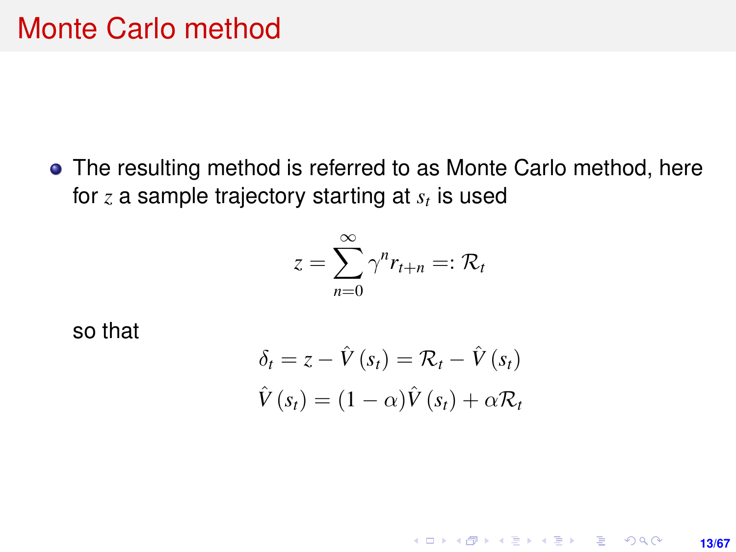<span id="page-12-0"></span>The resulting method is referred to as Monte Carlo method, here for *z* a sample trajectory starting at *s<sup>t</sup>* is used

$$
z=\sum_{n=0}^{\infty}\gamma^{n}r_{t+n}=:R_{t}
$$

so that

$$
\delta_t = z - \hat{V}(s_t) = \mathcal{R}_t - \hat{V}(s_t)
$$

$$
\hat{V}(s_t) = (1 - \alpha)\hat{V}(s_t) + \alpha \mathcal{R}_t
$$

**13/67**

KO KARK KEK LE KORA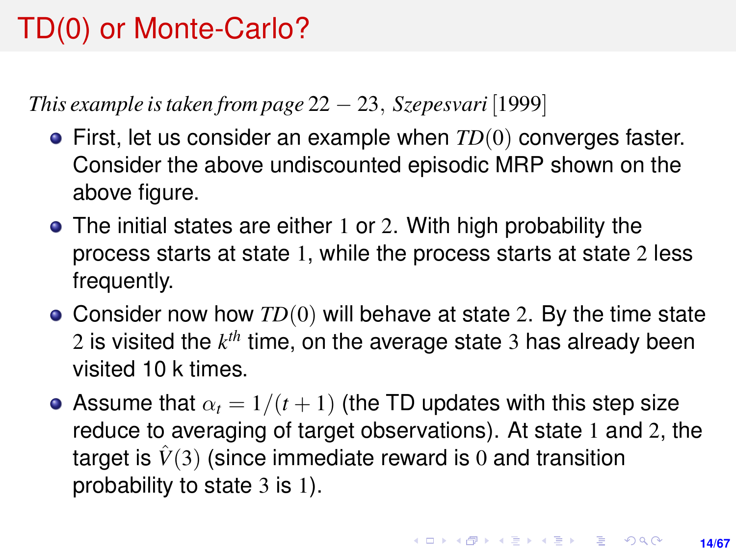# TD(0) or Monte-Carlo?

*This example is taken from page* 22 − 23, *Szepesvari* [1999]

- First, let us consider an example when *TD*(0) converges faster. Consider the above undiscounted episodic MRP shown on the above figure.
- The initial states are either 1 or 2. With high probability the process starts at state 1, while the process starts at state 2 less frequently.
- Consider now how *TD*(0) will behave at state 2. By the time state 2 is visited the *k th* time, on the average state 3 has already been visited 10 k times.
- Assume that  $\alpha_t = 1/(t+1)$  (the TD updates with this step size reduce to averaging of target observations). At state 1 and 2, the target is  $\hat{V}(3)$  (since immediate reward is 0 and transition probability to state 3 is 1).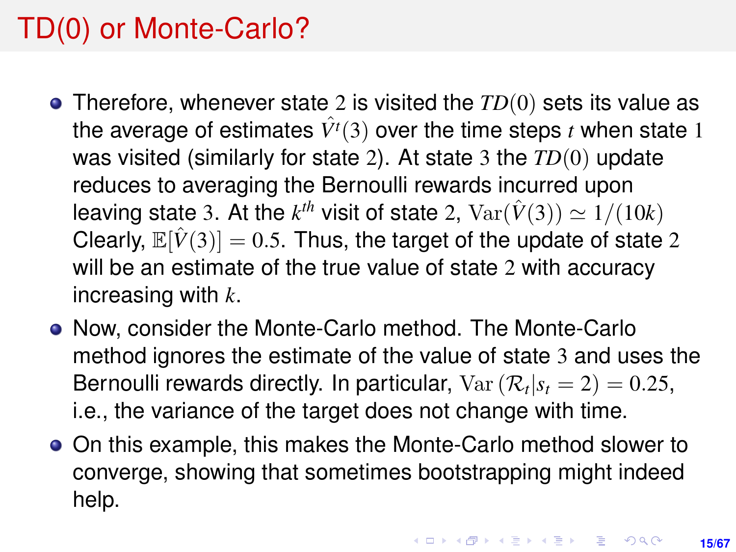## TD(0) or Monte-Carlo?

- Therefore, whenever state 2 is visited the *TD*(0) sets its value as the average of estimates  $\hat{V}^t(3)$  over the time steps *t* when state 1 was visited (similarly for state 2). At state 3 the *TD*(0) update reduces to averaging the Bernoulli rewards incurred upon leaving state 3. At the  $k^{th}$  visit of state 2,  $\text{Var}(\hat{V}(3)) \simeq 1/(10k)$ Clearly,  $\mathbb{E}[\hat{V}(3)] = 0.5$ . Thus, the target of the update of state 2 will be an estimate of the true value of state 2 with accuracy increasing with *k*.
- Now, consider the Monte-Carlo method. The Monte-Carlo method ignores the estimate of the value of state 3 and uses the Bernoulli rewards directly. In particular,  $Var(R_t|s_t=2)=0.25$ , i.e., the variance of the target does not change with time.
- On this example, this makes the Monte-Carlo method slower to converge, showing that sometimes bootstrapping might indeed help.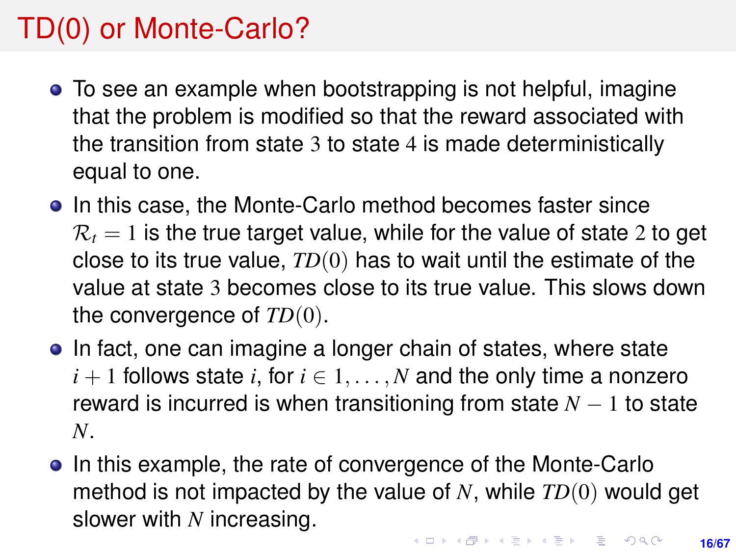# TD(0) or Monte-Carlo?

- To see an example when bootstrapping is not helpful, imagine that the problem is modified so that the reward associated with the transition from state 3 to state 4 is made deterministically equal to one.
- In this case, the Monte-Carlo method becomes faster since  $\mathcal{R}_t = 1$  is the true target value, while for the value of state 2 to get close to its true value, *TD*(0) has to wait until the estimate of the value at state 3 becomes close to its true value. This slows down the convergence of *TD*(0).
- In fact, one can imagine a longer chain of states, where state  $i+1$  follows state *i*, for  $i \in 1, \ldots, N$  and the only time a nonzero reward is incurred is when transitioning from state  $N-1$  to state *N*.
- In this example, the rate of convergence of the Monte-Carlo method is not impacted by the value of *N*, while *TD*(0) would get slower with *N* increasing.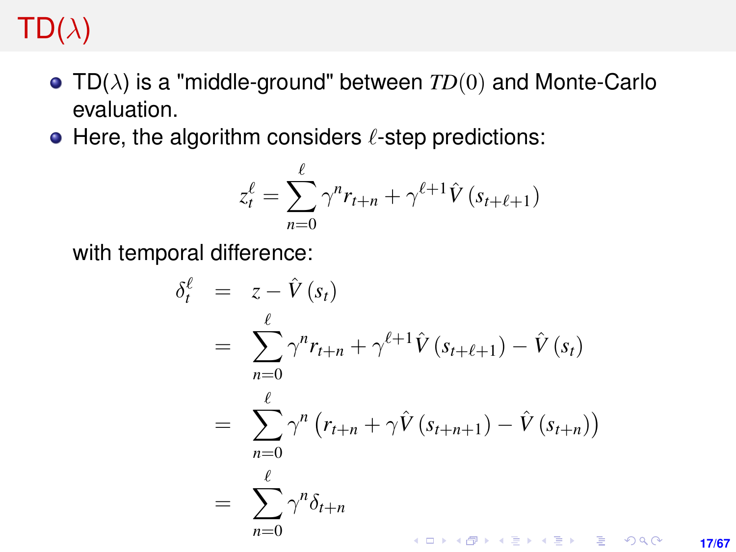## <span id="page-16-0"></span> $TD(\lambda)$

- TD(λ) is a "middle-ground" between *TD*(0) and Monte-Carlo evaluation.
- $\bullet$  Here, the algorithm considers  $\ell$ -step predictions:

$$
z_t^{\ell} = \sum_{n=0}^{\ell} \gamma^n r_{t+n} + \gamma^{\ell+1} \hat{V}(s_{t+\ell+1})
$$

with temporal difference:

$$
\delta_t^{\ell} = z - \hat{V}(s_t)
$$
\n
$$
= \sum_{n=0}^{\ell} \gamma^n r_{t+n} + \gamma^{\ell+1} \hat{V}(s_{t+\ell+1}) - \hat{V}(s_t)
$$
\n
$$
= \sum_{n=0}^{\ell} \gamma^n (r_{t+n} + \gamma \hat{V}(s_{t+n+1}) - \hat{V}(s_{t+n}))
$$
\n
$$
= \sum_{n=0}^{\ell} \gamma^n \delta_{t+n}
$$

**17/67**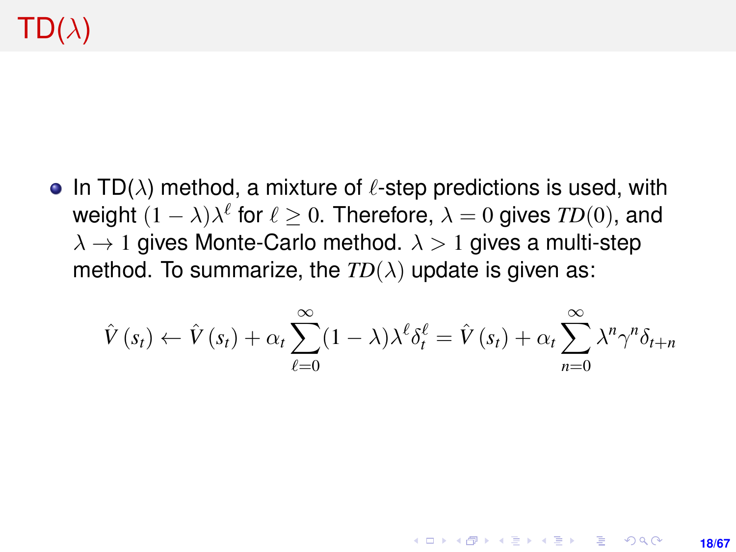# $TD(\lambda)$

• In TD( $\lambda$ ) method, a mixture of  $\ell$ -step predictions is used, with weight  $(1 - \lambda)\lambda^{\ell}$  for  $\ell \geq 0$ . Therefore,  $\lambda = 0$  gives  $TD(0)$ , and  $\lambda \rightarrow 1$  gives Monte-Carlo method.  $\lambda > 1$  gives a multi-step method. To summarize, the  $TD(\lambda)$  update is given as:

$$
\hat{V}(s_t) \leftarrow \hat{V}(s_t) + \alpha_t \sum_{\ell=0}^{\infty} (1-\lambda) \lambda^{\ell} \delta_t^{\ell} = \hat{V}(s_t) + \alpha_t \sum_{n=0}^{\infty} \lambda^n \gamma^n \delta_{t+n}
$$

**18/67**

**KORKARK KERKER DRAM**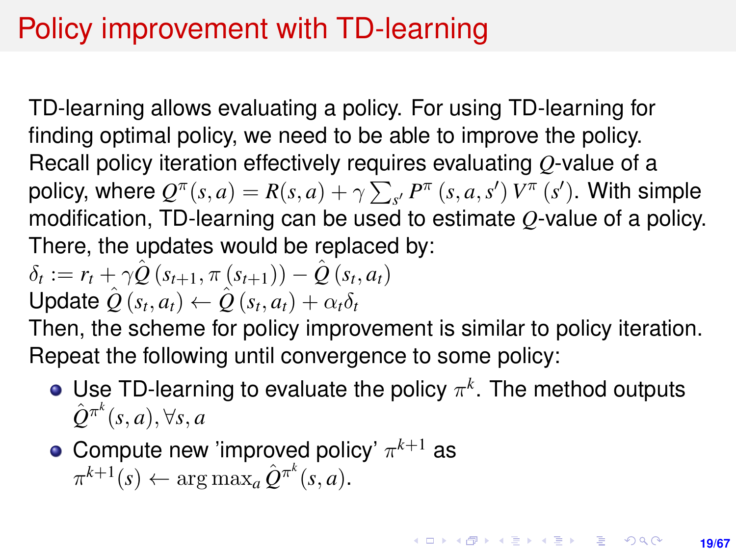## Policy improvement with TD-learning

TD-learning allows evaluating a policy. For using TD-learning for finding optimal policy, we need to be able to improve the policy. Recall policy iteration effectively requires evaluating *Q*-value of a policy, where  $Q^{\pi}(s, a) = R(s, a) + \gamma \sum_{s'} P^{\pi}(s, a, s') V^{\pi}(s')$ . With simple modification, TD-learning can be used to estimate *Q*-value of a policy. There, the updates would be replaced by:

$$
\delta_t := r_t + \gamma \hat{Q}(s_{t+1}, \pi(s_{t+1})) - \hat{Q}(s_t, a_t)
$$
  
Update  $\hat{Q}(s_t, a_t) \leftarrow \hat{Q}(s_t, a_t) + \alpha_t \delta_t$ 

Then, the scheme for policy improvement is similar to policy iteration. Repeat the following until convergence to some policy:

- Use TD-learning to evaluate the policy  $\pi^k$ . The method outputs  $\hat{\mathcal{Q}}^{\pi^k}(s, a), \forall s, a$
- Compute new 'improved policy'  $\pi^{k+1}$  as  $\pi^{k+1}(s) \leftarrow \arg \max_a \hat{Q}^{\pi^k}(s, a).$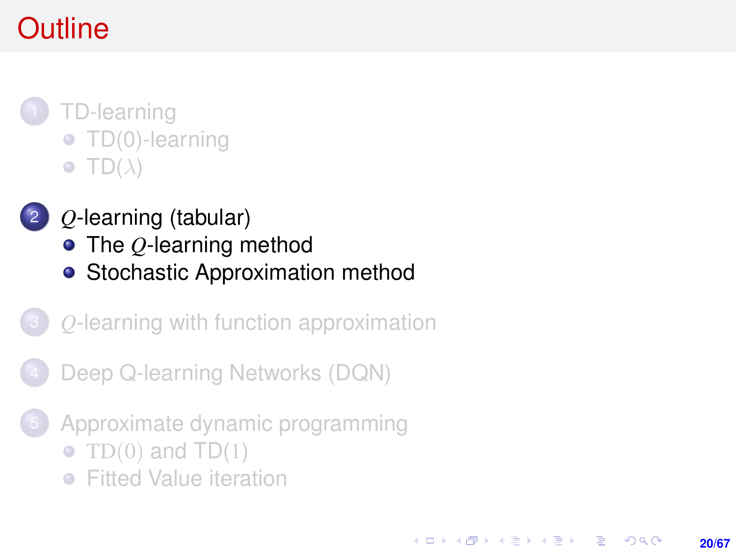# <span id="page-19-0"></span>**Outline**

- 1 [TD-learning](#page-1-0) **• [TD\(0\)-learning](#page-4-0)**  $\bullet$  [TD\(](#page-16-0) $\lambda$ )
	- 2 *Q*[-learning \(tabular\)](#page-19-0)
		- The *Q*[-learning method](#page-20-0)
		- [Stochastic Approximation method](#page-27-0)
- 3 *Q*[-learning with function approximation](#page-29-0)
- [Deep Q-learning Networks \(DQN\)](#page-34-0)
- [Approximate dynamic programming](#page-54-0)

**20/67**

KORK ERKER ERKER

- TD $(0)$  and TD $(1)$
- **•** [Fitted Value iteration](#page-57-0)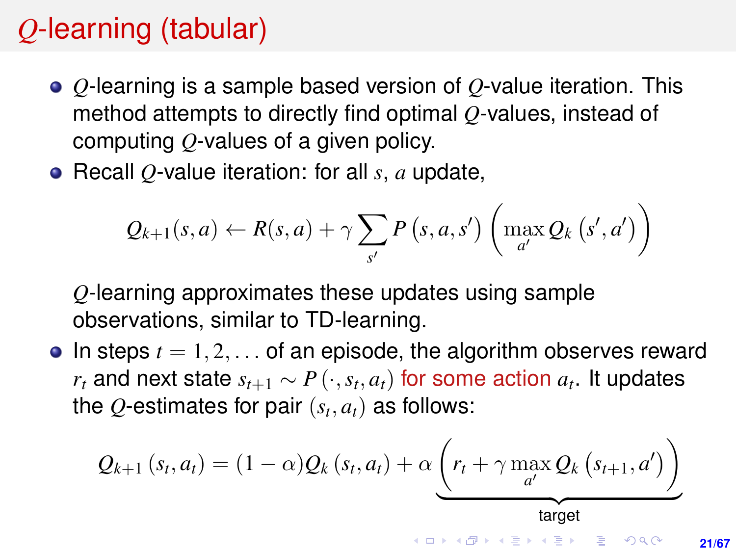## <span id="page-20-0"></span>*Q*-learning (tabular)

- *Q*-learning is a sample based version of *Q*-value iteration. This method attempts to directly find optimal *Q*-values, instead of computing *Q*-values of a given policy.
- Recall *Q*-value iteration: for all *s*, *a* update,

$$
Q_{k+1}(s, a) \leftarrow R(s, a) + \gamma \sum_{s'} P(s, a, s') \left( \max_{a'} Q_k(s', a') \right)
$$

*Q*-learning approximates these updates using sample observations, similar to TD-learning.

 $\bullet$  In steps  $t = 1, 2, \ldots$  of an episode, the algorithm observes reward  $r_t$  and next state  $s_{t+1} \sim P\left(\cdot, s_t, a_t\right)$  for some action  $a_t$ . It updates the  $Q$ -estimates for pair  $(s_t, a_t)$  as follows:

$$
Q_{k+1}(s_t, a_t) = (1-\alpha)Q_k(s_t, a_t) + \alpha \underbrace{\left(r_t + \gamma \max_{a'} Q_k(s_{t+1}, a')\right)}_{\text{target}}
$$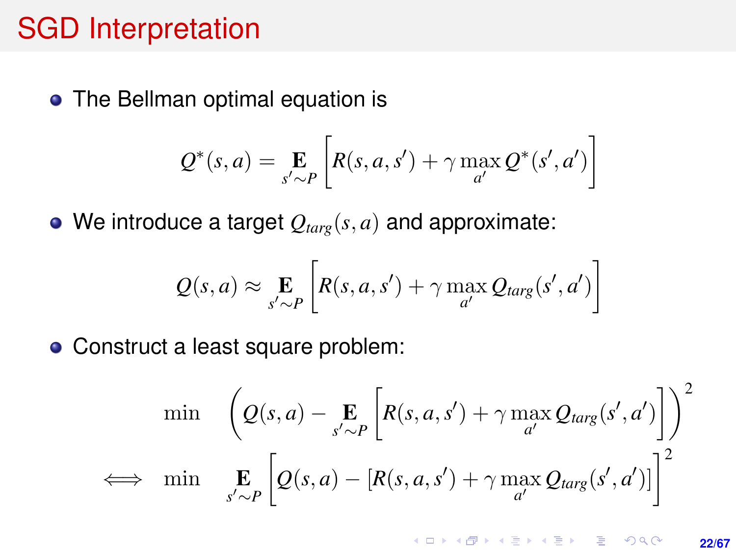#### SGD Interpretation

• The Bellman optimal equation is

$$
Q^*(s, a) = \mathop{\mathbf{E}}_{s' \sim P} \left[ R(s, a, s') + \gamma \max_{a'} Q^*(s', a') \right]
$$

 $\bullet$  We introduce a target  $Q_{targ}(s, a)$  and approximate:

$$
Q(s, a) \approx \mathop{\mathbf{E}}_{s' \sim P} \left[ R(s, a, s') + \gamma \max_{a'} Q_{targ}(s', a') \right]
$$

• Construct a least square problem:

$$
\min \left( Q(s, a) - \underset{s' \sim P}{\mathbf{E}} \left[ R(s, a, s') + \gamma \max_{a'} Q_{targ}(s', a') \right] \right)^2
$$
\n
$$
\iff \min \underset{s' \sim P}{\mathbf{E}} \left[ Q(s, a) - \left[ R(s, a, s') + \gamma \max_{a'} Q_{targ}(s', a') \right] \right]^2
$$

K ロ ▶ K @ ▶ K 할 ▶ K 할 ▶ ... 할 → 9 Q @ **22/67**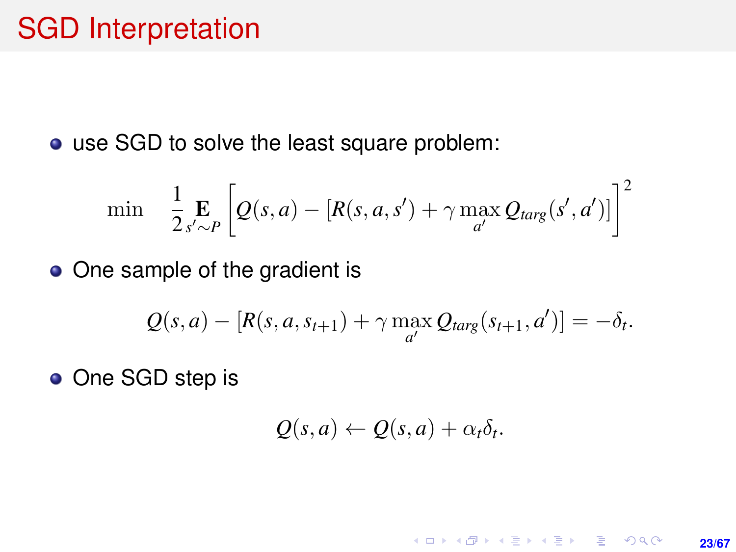#### SGD Interpretation

use SGD to solve the least square problem:

$$
\min \quad \frac{1}{2} \mathop{\mathbf{E}}_{s' \sim P} \left[ Q(s, a) - [R(s, a, s') + \gamma \max_{a'} Q_{targ}(s', a')] \right]^2
$$

• One sample of the gradient is

$$
Q(s, a) - [R(s, a, s_{t+1}) + \gamma \max_{a'} Q_{targ}(s_{t+1}, a')] = -\delta_t.
$$

• One SGD step is

$$
Q(s,a) \leftarrow Q(s,a) + \alpha_t \delta_t.
$$

K ロ ▶ K @ ▶ K 할 ▶ K 할 ▶ ... 할 → 9 Q @ **23/67**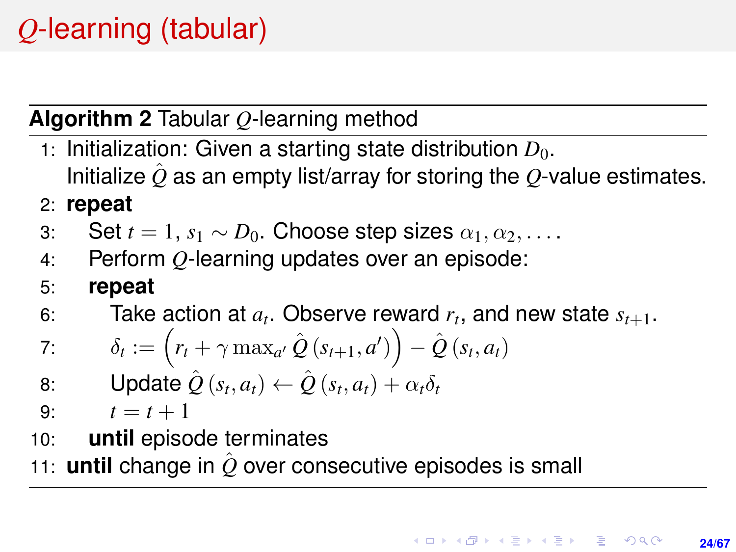# *Q*-learning (tabular)

#### **Algorithm 2** Tabular *Q*-learning method

- 1: Initialization: Given a starting state distribution  $D_0$ . Initialize  $\hat{Q}$  as an empty list/array for storing the  $Q$ -value estimates.
- 2: **repeat**
- 3: Set  $t = 1$ ,  $s_1 \sim D_0$ . Choose step sizes  $\alpha_1, \alpha_2, \ldots$ .
- 4: Perform *Q*-learning updates over an episode:
- 5: **repeat**
- 6: Take action at  $a_t$ . Observe reward  $r_t$ , and new state  $s_{t+1}$ .

7: 
$$
\delta_t := \left( r_t + \gamma \max_{a'} \hat{Q}(s_{t+1}, a') \right) - \hat{Q}(s_t, a_t)
$$

- 8: Update  $\hat{Q}(s_t, a_t) \leftarrow \hat{Q}(s_t, a_t) + \alpha_t \delta_t$
- 9:  $t = t + 1$
- 10: **until** episode terminates
- 11: **until** change in  $\hat{O}$  over consecutive episodes is small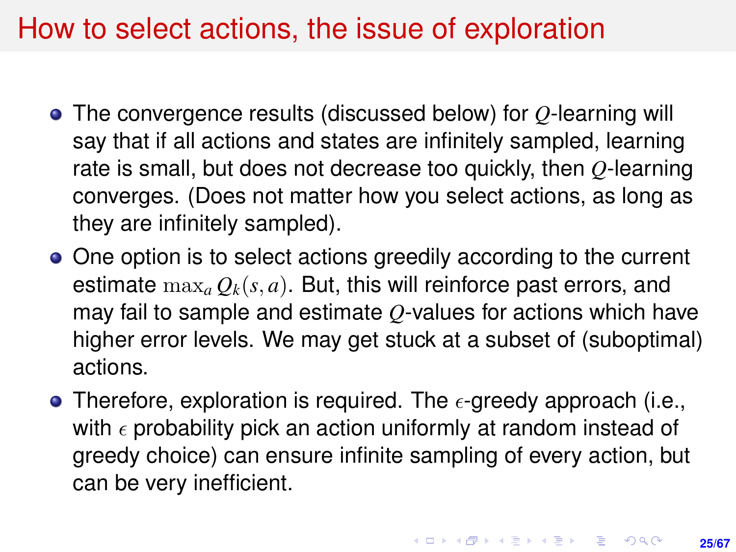### How to select actions, the issue of exploration

- The convergence results (discussed below) for *Q*-learning will say that if all actions and states are infinitely sampled, learning rate is small, but does not decrease too quickly, then *Q*-learning converges. (Does not matter how you select actions, as long as they are infinitely sampled).
- One option is to select actions greedily according to the current estimate  $\max_a Q_k(s, a)$ . But, this will reinforce past errors, and may fail to sample and estimate *Q*-values for actions which have higher error levels. We may get stuck at a subset of (suboptimal) actions.
- Therefore, exploration is required. The  $\epsilon$ -greedy approach (i.e., with  $\epsilon$  probability pick an action uniformly at random instead of greedy choice) can ensure infinite sampling of every action, but can be very inefficient.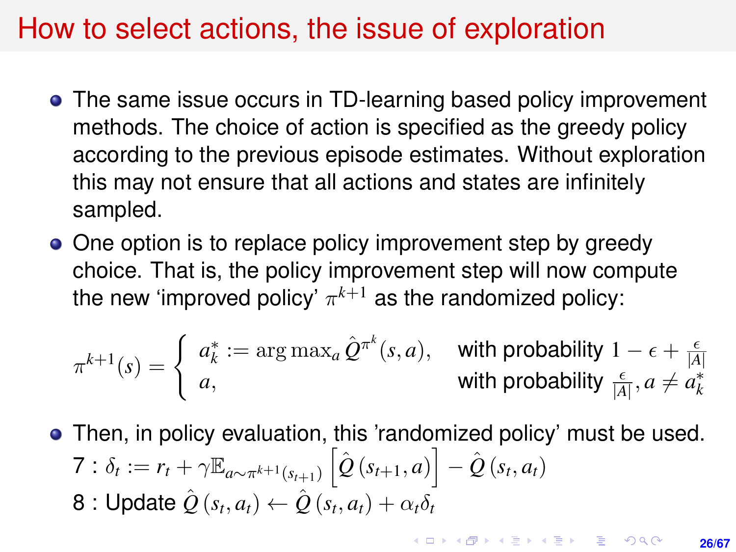#### <span id="page-25-0"></span>How to select actions, the issue of exploration

- The same issue occurs in TD-learning based policy improvement methods. The choice of action is specified as the greedy policy according to the previous episode estimates. Without exploration this may not ensure that all actions and states are infinitely sampled.
- One option is to replace policy improvement step by greedy choice. That is, the policy improvement step will now compute the new 'improved policy'  $\pi^{k+1}$  as the randomized policy:

$$
\pi^{k+1}(s) = \begin{cases} a_k^* := \arg \max_a \hat{Q}^{\pi^k}(s, a), & \text{with probability } 1 - \epsilon + \frac{\epsilon}{|A|} \\ a, & \text{with probability } \frac{\epsilon}{|A|}, a \neq a_k^* \end{cases}
$$

Then, in policy evaluation, this 'randomized policy' must be used.  $7: \delta_t := r_t + \gamma \mathbb{E}_{a \sim \pi^{k+1}(s_{t+1})} \left[ \hat{Q}(s_{t+1}, a) \right] - \hat{Q}(s_t, a_t)$  ${\bf 8:}$  Update  $\hat{\bar {\cal Q}}\left( s_t, a_t \right) \leftarrow \hat{\bar {\cal Q}}\left( s_t, a_t \right) + \alpha_t \delta_t$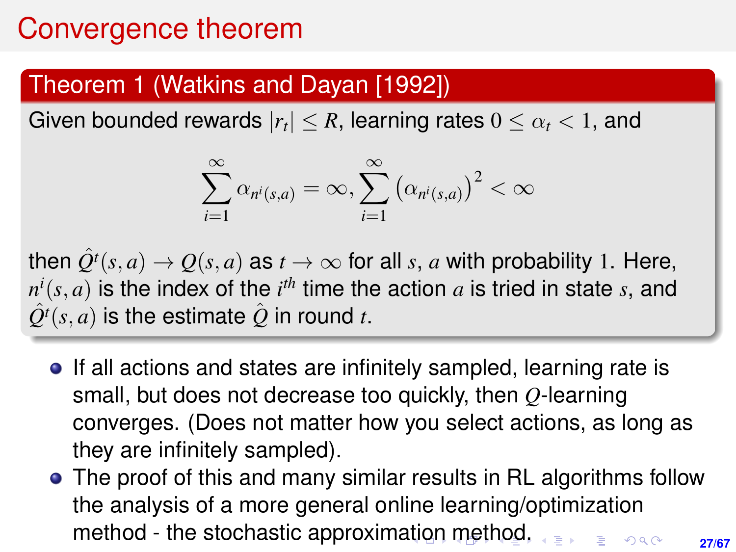#### <span id="page-26-0"></span>Theorem 1 (Watkins and Dayan [1992])

Given bounded rewards  $|r_t|\leq R$ , learning rates  $0\leq \alpha_t < 1,$  and

$$
\sum_{i=1}^{\infty} \alpha_{n^i(s,a)} = \infty, \sum_{i=1}^{\infty} (\alpha_{n^i(s,a)})^2 < \infty
$$

then  $Q^{t}(s, a) \rightarrow Q(s, a)$  as  $t \rightarrow \infty$  for all *s*, *a* with probability 1. Here,  $n^i(s,a)$  is the index of the  $i^{th}$  time the action  $a$  is tried in state  $s$ , and  $\hat{Q}^{t}(s, a)$  is the estimate  $\hat{Q}$  in round *t*.

- If all actions and states are infinitely sampled, learning rate is small, but does not decrease too quickly, then *Q*-learning converges. (Does not matter how you select actions, as long as they are infinitely sampled).
- The proof of this and many similar results in RL algorithms follow the analysis of a more general online learning/optimization method - the stochastic approxim[atio](#page-25-0)[n](#page-27-0) [m](#page-25-0)[e](#page-26-0)[t](#page-27-0)[ho](#page-0-0)[d.](#page-66-0) $000$ **27/67**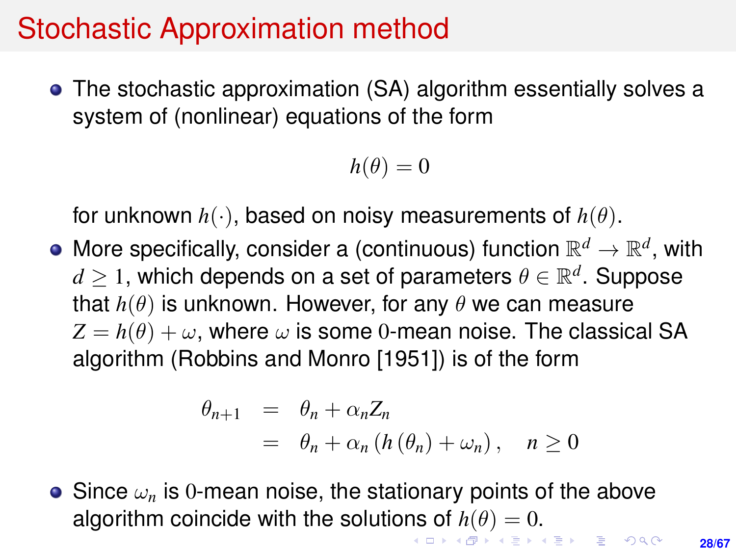#### <span id="page-27-0"></span>Stochastic Approximation method

The stochastic approximation (SA) algorithm essentially solves a system of (nonlinear) equations of the form

$$
h(\theta)=0
$$

for unknown *h*(·), based on noisy measurements of *h*(θ).

More specifically, consider a (continuous) function  $\mathbb{R}^d \to \mathbb{R}^d$ , with  $d\geq 1$ , which depends on a set of parameters  $\theta\in\mathbb{R}^{d}.$  Suppose that  $h(\theta)$  is unknown. However, for any  $\theta$  we can measure  $Z = h(\theta) + \omega$ , where  $\omega$  is some 0-mean noise. The classical SA algorithm (Robbins and Monro [1951]) is of the form

$$
\begin{array}{rcl}\n\theta_{n+1} & = & \theta_n + \alpha_n Z_n \\
& = & \theta_n + \alpha_n \left( h \left( \theta_n \right) + \omega_n \right), \quad n \ge 0\n\end{array}
$$

 $\bullet$  Since  $\omega_n$  is 0-mean noise, the stationary points of the above algorithm coincide with the solutio[ns](#page-26-0) [of](#page-28-0)  $h(\theta) = 0$  $h(\theta) = 0$  $h(\theta) = 0$  $h(\theta) = 0$  $h(\theta) = 0$  $h(\theta) = 0$ [.](#page-0-0)

**28/67**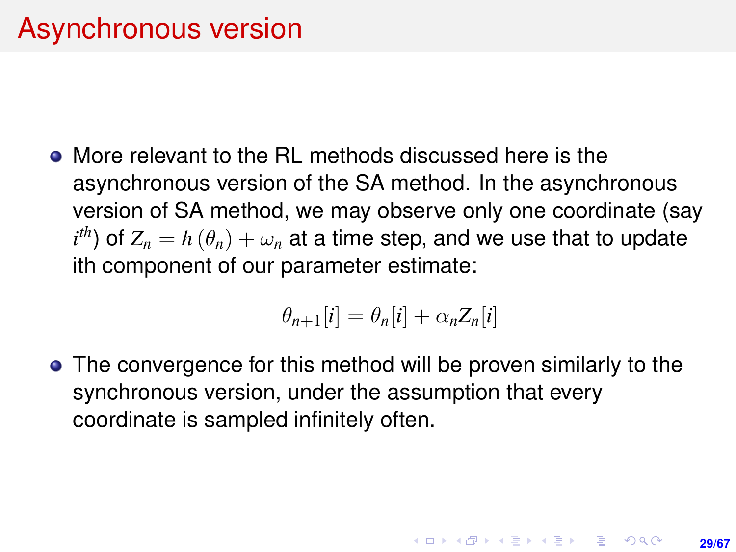<span id="page-28-0"></span>More relevant to the RL methods discussed here is the asynchronous version of the SA method. In the asynchronous version of SA method, we may observe only one coordinate (say  $i^{th}$ ) of  $Z_n = h\left(\theta_n\right) + \omega_n$  at a time step, and we use that to update ith component of our parameter estimate:

$$
\theta_{n+1}[i] = \theta_n[i] + \alpha_n Z_n[i]
$$

• The convergence for this method will be proven similarly to the synchronous version, under the assumption that every coordinate is sampled infinitely often.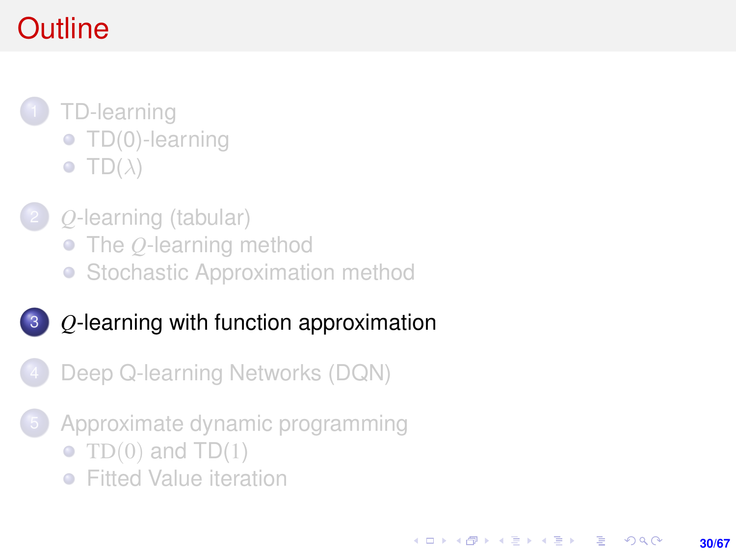# <span id="page-29-0"></span>**Outline**

- 1 [TD-learning](#page-1-0) • [TD\(0\)-learning](#page-4-0)  $\bullet$  [TD\(](#page-16-0) $\lambda$ )
	- 2 *Q*[-learning \(tabular\)](#page-19-0)
		- The *Q*[-learning method](#page-20-0)
		- [Stochastic Approximation method](#page-27-0)
- 3 *Q*[-learning with function approximation](#page-29-0)
	- [Deep Q-learning Networks \(DQN\)](#page-34-0)
- [Approximate dynamic programming](#page-54-0)

**30/67**

KORK ERKER ERKER

- TD $(0)$  and TD $(1)$
- **•** [Fitted Value iteration](#page-57-0)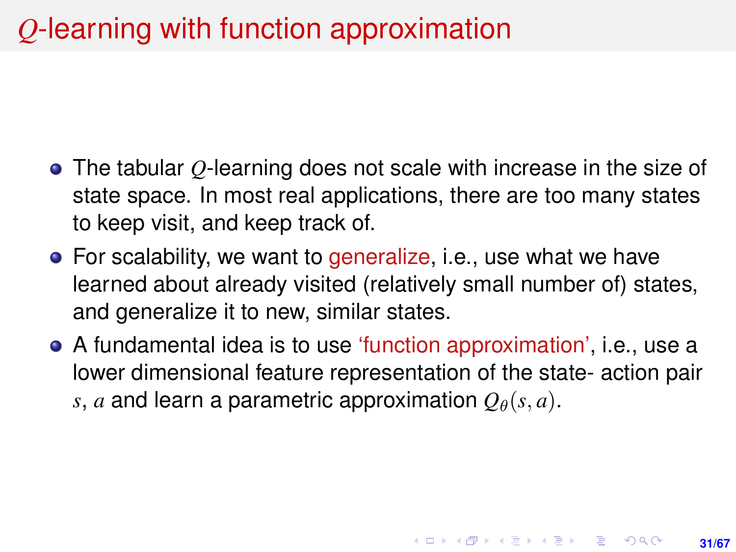## *Q*-learning with function approximation

- The tabular *Q*-learning does not scale with increase in the size of state space. In most real applications, there are too many states to keep visit, and keep track of.
- For scalability, we want to generalize, i.e., use what we have learned about already visited (relatively small number of) states, and generalize it to new, similar states.
- A fundamental idea is to use 'function approximation', i.e., use a lower dimensional feature representation of the state- action pair *s*, *a* and learn a parametric approximation  $Q_{\theta}(s, a)$ .

**31/67**

**KORKAR KERKER E KORA**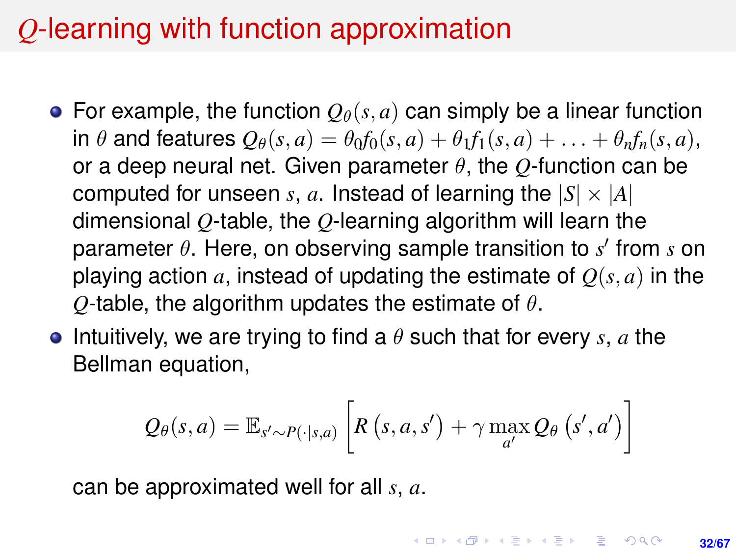## *Q*-learning with function approximation

- For example, the function  $Q_{\theta}(s, a)$  can simply be a linear function in  $\theta$  and features  $Q_{\theta}(s, a) = \theta_0 f_0(s, a) + \theta_1 f_1(s, a) + \ldots + \theta_n f_n(s, a),$ or a deep neural net. Given parameter θ, the *Q*-function can be computed for unseen *s*, *a*. Instead of learning the  $|S| \times |A|$ dimensional *Q*-table, the *Q*-learning algorithm will learn the parameter θ. Here, on observing sample transition to *s'* from *s* on playing action *a*, instead of updating the estimate of  $O(s, a)$  in the *Q*-table, the algorithm updates the estimate of  $\theta$ .
- **•** Intuitively, we are trying to find a  $\theta$  such that for every *s*, *a* the Bellman equation,

$$
Q_{\theta}(s, a) = \mathbb{E}_{s' \sim P(\cdot | s, a)} \left[ R(s, a, s') + \gamma \max_{a'} Q_{\theta}(s', a') \right]
$$

can be approximated well for all *s*, *a*.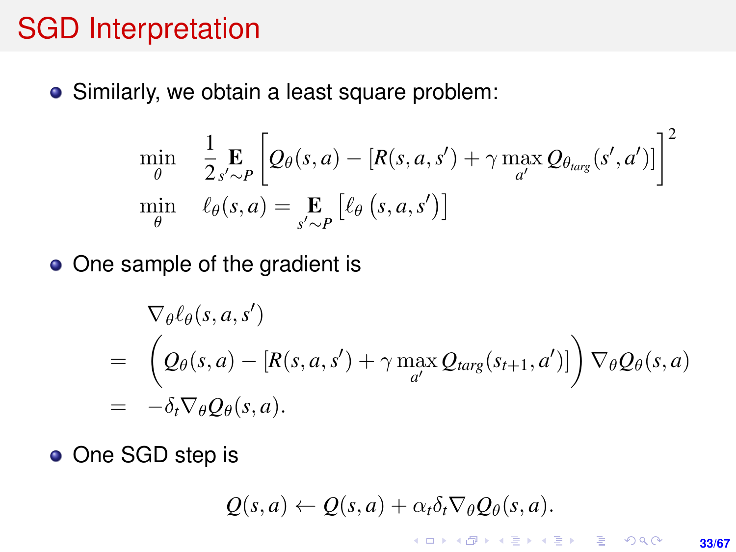#### SGD Interpretation

• Similarly, we obtain a least square problem:

$$
\min_{\theta} \quad \frac{1}{2} \underset{s' \sim P}{\mathbf{E}} \left[ Q_{\theta}(s, a) - [R(s, a, s') + \gamma \max_{a'} Q_{\theta_{\text{targ}}}(s', a')] \right]^2
$$
\n
$$
\min_{\theta} \quad \ell_{\theta}(s, a) = \underset{s' \sim P}{\mathbf{E}} \left[ \ell_{\theta}(s, a, s') \right]
$$

• One sample of the gradient is

$$
\nabla_{\theta} \ell_{\theta}(s, a, s')
$$
\n
$$
= \left(Q_{\theta}(s, a) - [R(s, a, s') + \gamma \max_{a'} Q_{targ}(s_{t+1}, a')] \right) \nabla_{\theta} Q_{\theta}(s, a)
$$
\n
$$
= -\delta_t \nabla_{\theta} Q_{\theta}(s, a).
$$

• One SGD step is

$$
Q(s,a) \leftarrow Q(s,a) + \alpha_t \delta_t \nabla_\theta Q_\theta(s,a).
$$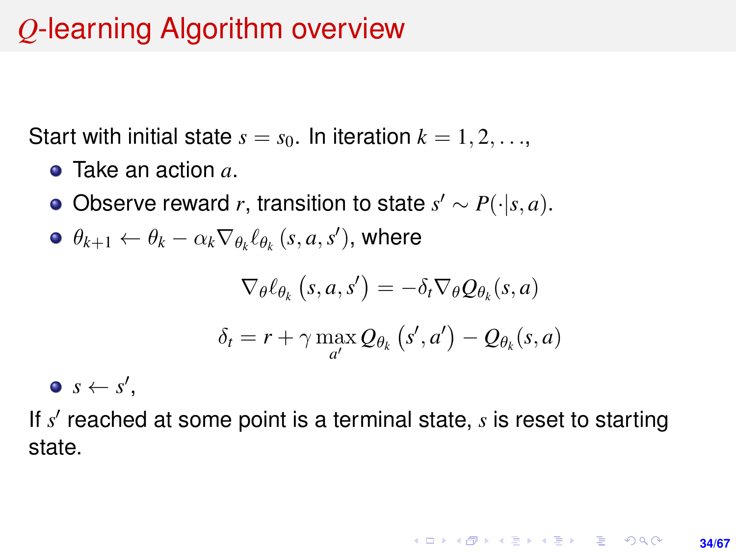## *Q*-learning Algorithm overview

Start with initial state  $s = s_0$ . In iteration  $k = 1, 2, \ldots$ ,

- Take an action *a*.
- Observe reward *r*, transition to state  $s' \sim P(\cdot | s, a)$ .
- $\theta_{k+1} \leftarrow \theta_k \alpha_k \nabla_{\theta_k} \ell_{\theta_k} \left( s, a, s' \right)$ , where

$$
\nabla_{\theta} \ell_{\theta_k} (s, a, s') = -\delta_t \nabla_{\theta} Q_{\theta_k}(s, a)
$$

$$
\delta_t = r + \gamma \max_{a'} Q_{\theta_k} (s', a') - Q_{\theta_k}(s, a)
$$

 $s \leftarrow s'$ ,

If s' reached at some point is a terminal state, s is reset to starting state.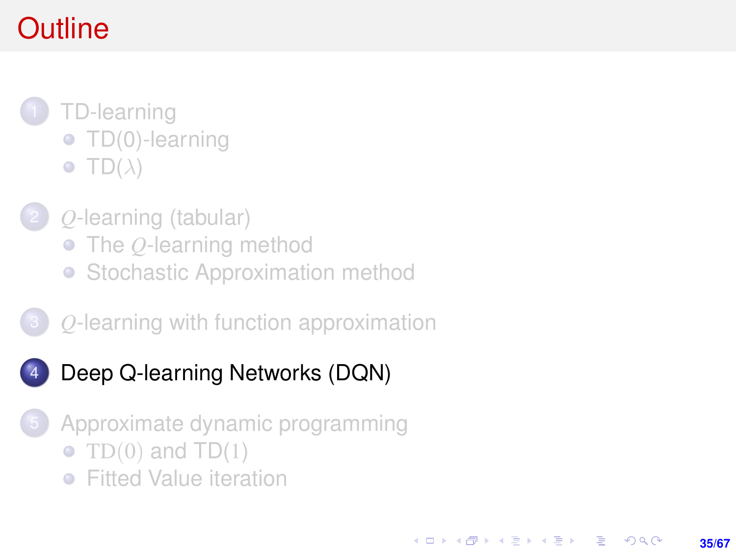# <span id="page-34-0"></span>**Outline**

- 1 [TD-learning](#page-1-0) • [TD\(0\)-learning](#page-4-0)  $\bullet$  [TD\(](#page-16-0) $\lambda$ )
	- 2 *Q*[-learning \(tabular\)](#page-19-0)
		- The *Q*[-learning method](#page-20-0)
		- [Stochastic Approximation method](#page-27-0)
- 3 *Q*[-learning with function approximation](#page-29-0)
- [Deep Q-learning Networks \(DQN\)](#page-34-0)
- [Approximate dynamic programming](#page-54-0)

**35/67**

KORK ERKER ERKER

- TD $(0)$  and TD $(1)$
- **•** [Fitted Value iteration](#page-57-0)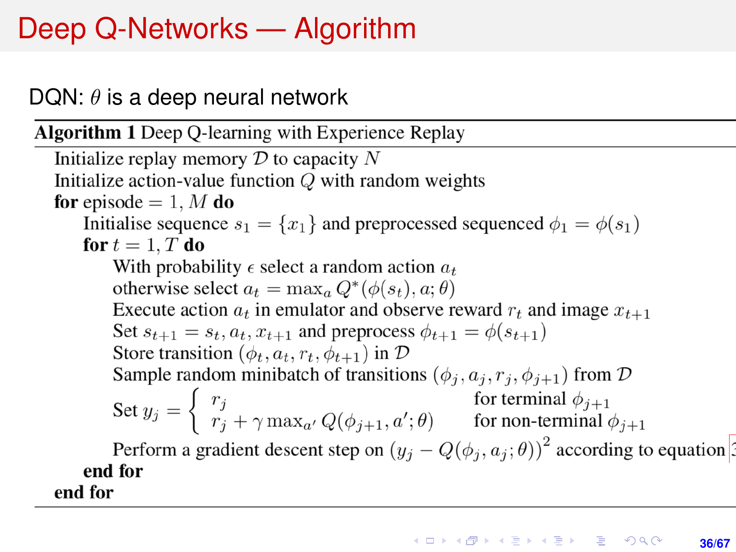# Deep Q-Networks — Algorithm

#### DQN:  $\theta$  is a deep neural network

**Algorithm 1** Deep Q-learning with Experience Replay

Initialize replay memory  $D$  to capacity N Initialize action-value function  $Q$  with random weights for episode  $= 1, M$  do Initialise sequence  $s_1 = \{x_1\}$  and preprocessed sequenced  $\phi_1 = \phi(s_1)$ for  $t=1, T$  do With probability  $\epsilon$  select a random action  $a_t$ otherwise select  $a_t = \max_a Q^*(\phi(s_t), a; \theta)$ Execute action  $a_t$  in emulator and observe reward  $r_t$  and image  $x_{t+1}$ Set  $s_{t+1} = s_t, a_t, x_{t+1}$  and preprocess  $\phi_{t+1} = \phi(s_{t+1})$ Store transition  $(\phi_t, a_t, r_t, \phi_{t+1})$  in  $\mathcal{D}$ Sample random minibatch of transitions  $(\phi_j, a_j, r_j, \phi_{j+1})$  from  $\mathcal D$ Set  $y_j = \begin{cases} r_j & \text{for terminal } \phi_{j+1} \\ r_j + \gamma \max_{a'} Q(\phi_{j+1}, a'; \theta) & \text{for non-terminal } \phi_{j+1} \end{cases}$ 

Perform a gradient descent step on  $(y_i - Q(\phi_i, a_i; \theta))^2$  according to equation end for end for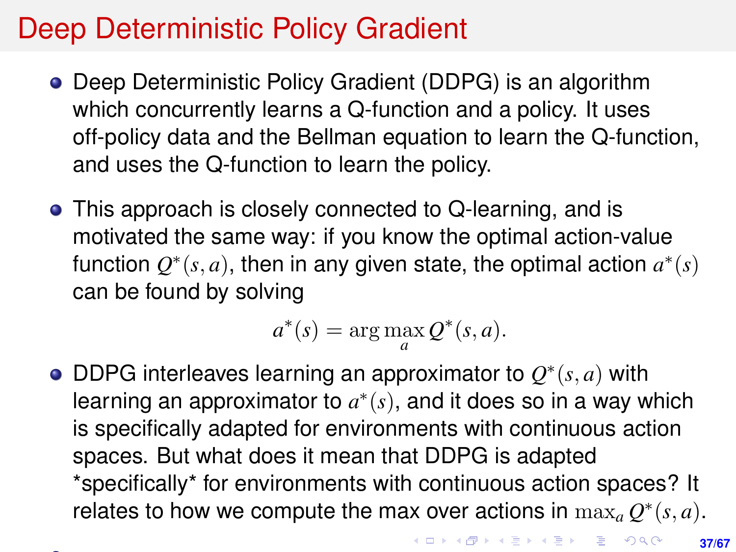### Deep Deterministic Policy Gradient

- Deep Deterministic Policy Gradient (DDPG) is an algorithm which concurrently learns a Q-function and a policy. It uses off-policy data and the Bellman equation to learn the Q-function, and uses the Q-function to learn the policy.
- This approach is closely connected to Q-learning, and is motivated the same way: if you know the optimal action-value function  $Q^*(s, a)$ , then in any given state, the optimal action  $a^*(s)$ can be found by solving

$$
a^*(s) = \arg\max_a Q^*(s, a).
$$

DDPG interleaves learning an approximator to  $Q^*(s, a)$  with learning an approximator to  $a^*(s)$ , and it does so in a way which is specifically adapted for environments with continuous action spaces. But what does it mean that DDPG is adapted \*specifically\* for environments with continuous action spaces? It relates to how we compute the max over actions in  $\max_{a} Q^*(s, a)$ .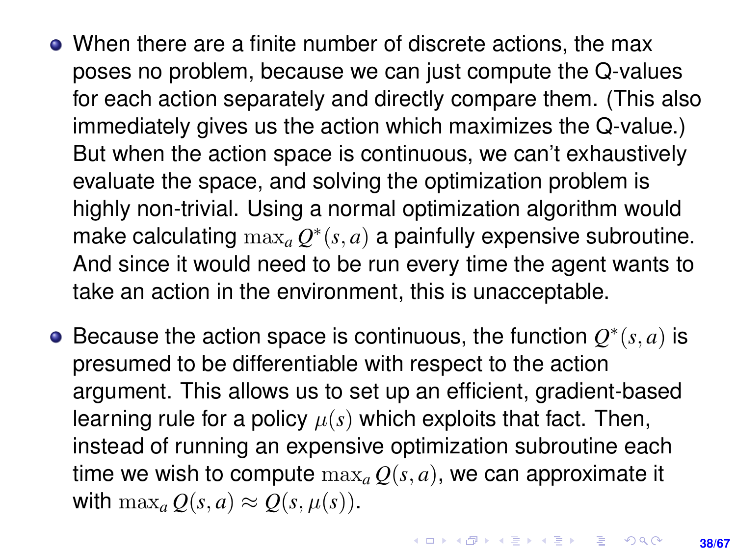- When there are a finite number of discrete actions, the max poses no problem, because we can just compute the Q-values for each action separately and directly compare them. (This also immediately gives us the action which maximizes the Q-value.) But when the action space is continuous, we can't exhaustively evaluate the space, and solving the optimization problem is highly non-trivial. Using a normal optimization algorithm would make calculating  $\max_a Q^*(s, a)$  a painfully expensive subroutine. And since it would need to be run every time the agent wants to take an action in the environment, this is unacceptable.
- Because the action space is continuous, the function  $Q^*(s, a)$  is presumed to be differentiable with respect to the action argument. This allows us to set up an efficient, gradient-based learning rule for a policy  $\mu(s)$  which exploits that fact. Then, instead of running an expensive optimization subroutine each time we wish to compute  $\max_{a} O(s, a)$ , we can approximate it with  $\max_a O(s, a) \approx O(s, \mu(s))$ .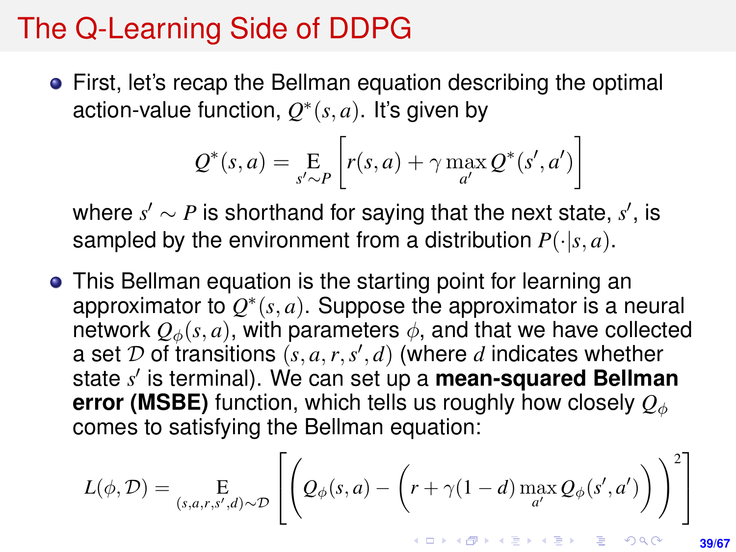#### <span id="page-38-0"></span>The Q-Learning Side of DDPG

First, let's recap the Bellman equation describing the optimal action-value function,  $Q^*(s, a)$ . It's given by

$$
Q^*(s, a) = \underset{s' \sim P}{\operatorname{E}} \left[ r(s, a) + \gamma \max_{a'} Q^*(s', a') \right]
$$

where  $s' \sim P$  is shorthand for saying that the next state,  $s'$ , is sampled by the environment from a distribution  $P(\cdot|s, a)$ .

This Bellman equation is the starting point for learning an approximator to  $Q^*(s, a)$ . Suppose the approximator is a neural network  $Q_{\phi}(s, a)$ , with parameters  $\phi$ , and that we have collected a set  $D$  of transitions  $(s, a, r, s', d)$  (where  $d$  indicates whether state s' is terminal). We can set up a **mean-squared Bellman error (MSBE)** function, which tells us roughly how closely  $Q_\phi$ comes to satisfying the Bellman equation:

$$
L(\phi, \mathcal{D}) = \underset{(s, a, r, s', d) \sim \mathcal{D}}{\mathbb{E}} \left[ \left( Q_{\phi}(s, a) - \left( r + \gamma (1 - d) \max_{a'} Q_{\phi}(s', a') \right) \right)^2 \right]
$$

**39/67**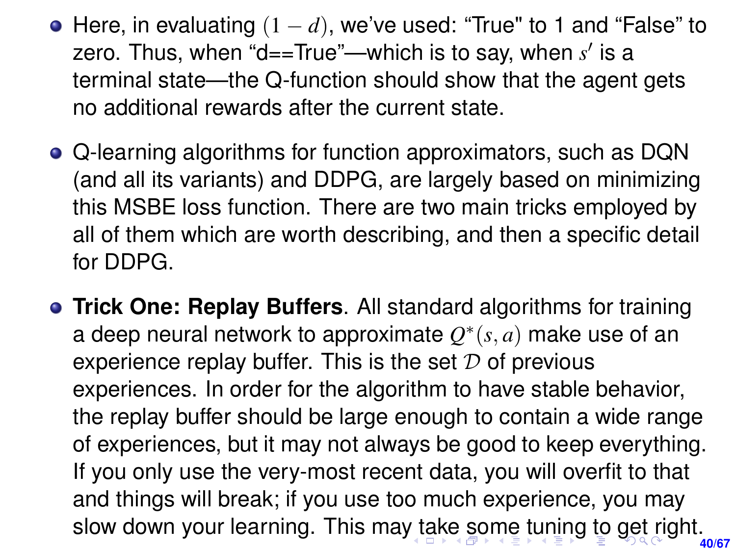- <span id="page-39-0"></span>Here, in evaluating (1 − *d*), we've used: "True" to 1 and "False" to zero. Thus, when "d==True"—which is to say, when s' is a terminal state—the Q-function should show that the agent gets no additional rewards after the current state.
- Q-learning algorithms for function approximators, such as DQN (and all its variants) and DDPG, are largely based on minimizing this MSBE loss function. There are two main tricks employed by all of them which are worth describing, and then a specific detail for DDPG.
- **Trick One: Replay Buffers**. All standard algorithms for training a deep neural network to approximate  $Q^*(s, a)$  make use of an experience replay buffer. This is the set  $\mathcal D$  of previous experiences. In order for the algorithm to have stable behavior, the replay buffer should be large enough to contain a wide range of experiences, but it may not always be good to keep everything. If you only use the very-most recent data, you will overfit to that and things will break; if you use too much experience, you may slow down your learning. This ma[y t](#page-38-0)[ak](#page-40-0)[e](#page-38-0) [s](#page-39-0)[o](#page-40-0)[me](#page-0-0) [t](#page-66-0)[un](#page-0-0)[in](#page-66-0)[g t](#page-0-0)[o g](#page-66-0)et right.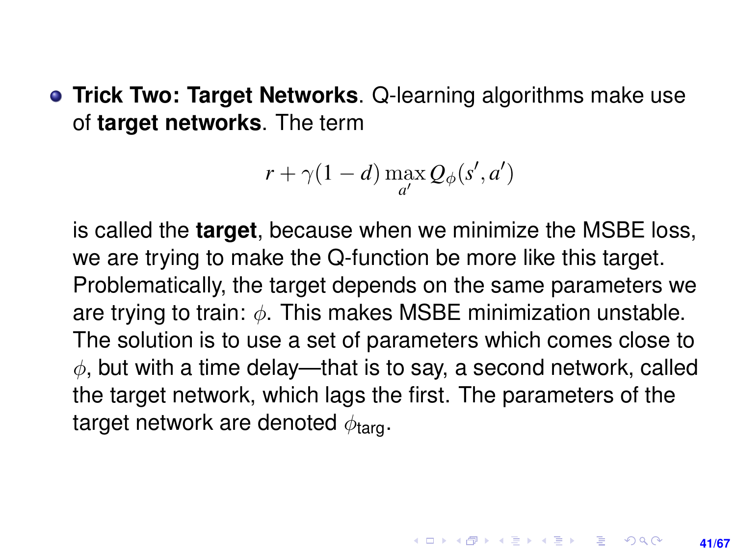<span id="page-40-0"></span>**• Trick Two: Target Networks**. Q-learning algorithms make use of **target networks**. The term

$$
r + \gamma(1 - d) \max_{a'} Q_{\phi}(s', a')
$$

is called the **target**, because when we minimize the MSBE loss, we are trying to make the Q-function be more like this target. Problematically, the target depends on the same parameters we are trying to train:  $\phi$ . This makes MSBE minimization unstable. The solution is to use a set of parameters which comes close to  $\phi$ , but with a time delay—that is to say, a second network, called the target network, which lags the first. The parameters of the target network are denoted  $\phi_{\text{tarn}}$ .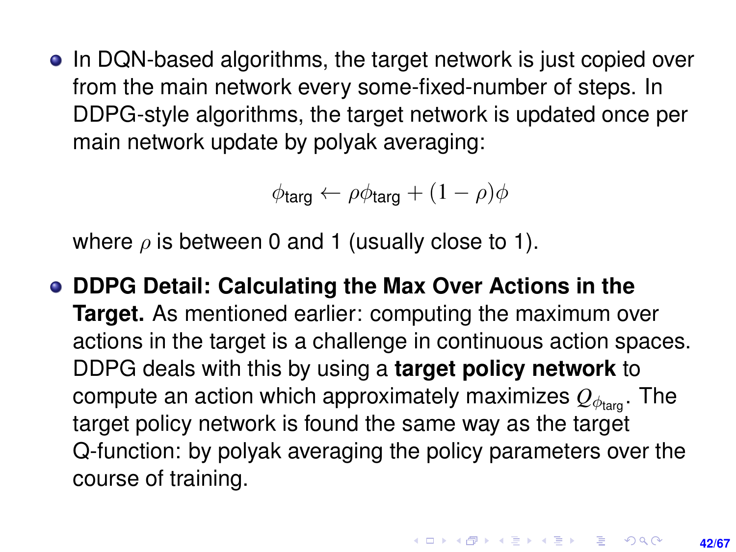• In DQN-based algorithms, the target network is just copied over from the main network every some-fixed-number of steps. In DDPG-style algorithms, the target network is updated once per main network update by polyak averaging:

 $\phi$ targ ←  $\rho\phi$ targ +  $(1 - \rho)\phi$ 

where  $\rho$  is between 0 and 1 (usually close to 1).

**DDPG Detail: Calculating the Max Over Actions in the Target.** As mentioned earlier: computing the maximum over actions in the target is a challenge in continuous action spaces. DDPG deals with this by using a **target policy network** to compute an action which approximately maximizes  $Q_{\phi_{\text{tarn}}}$ . The target policy network is found the same way as the target Q-function: by polyak averaging the policy parameters over the course of training.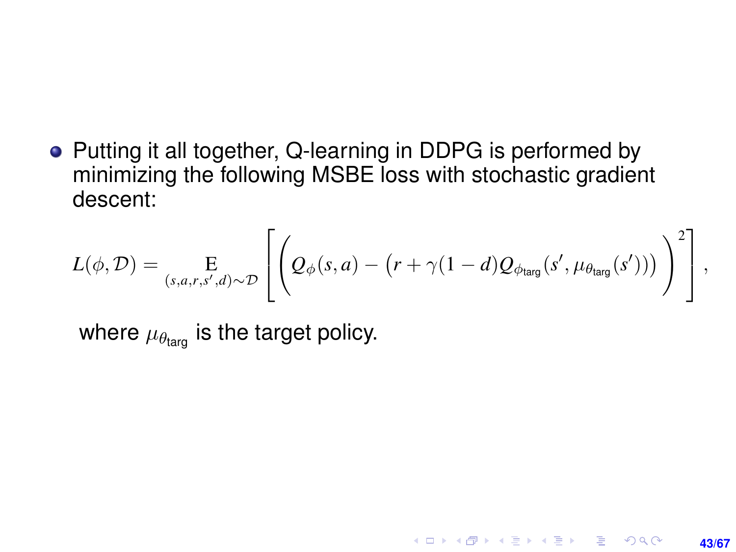• Putting it all together, Q-learning in DDPG is performed by minimizing the following MSBE loss with stochastic gradient descent:

$$
L(\phi,\mathcal{D}) = \underset{(s,a,r,s',d)\sim\mathcal{D}}{\mathbb{E}}\left[\left(\mathcal{Q}_{\phi}(s,a) - (r+\gamma(1-d)\mathcal{Q}_{\phi_{\text{targ}}}(s',\mu_{\theta_{\text{targ}}}(s')))\right)^2\right],
$$

where  $\mu_{\theta_{\text{targ}}}$  is the target policy.

**43/67**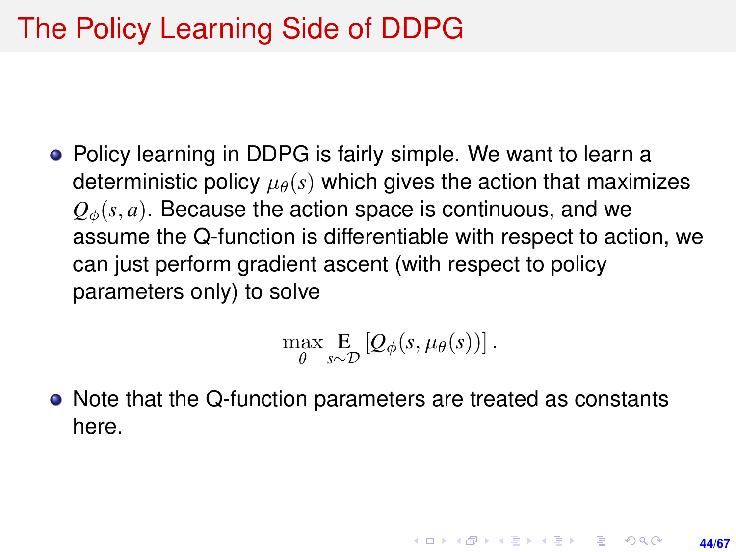## The Policy Learning Side of DDPG

Policy learning in DDPG is fairly simple. We want to learn a deterministic policy  $\mu_{\theta}(s)$  which gives the action that maximizes  $Q_{\phi}(s, a)$ . Because the action space is continuous, and we assume the Q-function is differentiable with respect to action, we can just perform gradient ascent (with respect to policy parameters only) to solve

$$
\max_{\theta} \mathop{\mathbf{E}}_{s\sim\mathcal{D}}\left[Q_{\phi}(s,\mu_{\theta}(s))\right].
$$

**44/67**

**KORKAR KERKER E KORA** 

• Note that the Q-function parameters are treated as constants here.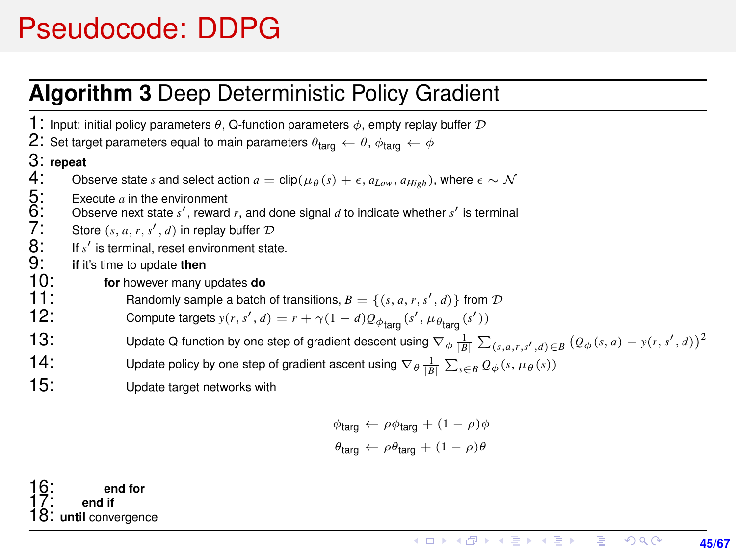### <span id="page-44-0"></span>Pseudocode: DDPG

#### **Algorithm 3** Deep Deterministic Policy Gradient

1: Input: initial policy parameters  $\theta$ , Q-function parameters  $\phi$ , empty replay buffer  $\mathcal D$ 2: Set target parameters equal to main parameters  $\theta_{\text{targ}} \leftarrow \theta$ ,  $\phi_{\text{targ}} \leftarrow \phi$ 3: **repeat** Observe state *s* and select action  $a = \text{clip}(\mu_{\theta}(s) + \epsilon, a_{Low}, a_{High})$ , where  $\epsilon \sim \mathcal{N}$ Execute  $a$  in the environment  $6:$  Observe next state  $s'$ , reward  $r$ , and done signal  $d$  to indicate whether  $s'$  is terminal 7: Store  $(s, a, r, s', d)$  in replay buffer  $D$ 5:<br>6: 7:<br>8:<br>9:  $'$  is terminal, reset environment state. 9: **if** it's time to update **then** 10: **for** however many updates **do 11:** Randomly sample a batch of transitions,  $B = \{(s, a, r, s', d)\}$  from  $D$ 12: Compute targets  $y(r, s', d) = r + \gamma(1 - d)Q_{\phi_{\text{targ}}}(s', \mu_{\theta_{\text{targ}}}(s'))$ 13: Update Q-function by one step of gradient descent using  $\nabla_{\phi} \frac{1}{|B|} \sum_{(s,a,r,s',d) \in B} (Q_{\phi}(s,a) - y(r,s',d))^2$ 14: Update policy by one step of gradient ascent using  $\nabla_{\theta} \frac{1}{|B|} \sum_{s \in B} Q_{\phi}(s, \mu_{\theta}(s))$ 15: Update target networks with  $\phi$ targ ←  $\rho \phi$ targ +  $(1 - \rho) \phi$  $\theta_{\text{tara}} \leftarrow \rho \theta_{\text{tara}} + (1 - \rho) \theta$ 

16: **end for** 17: **end if** 18: **until** convergence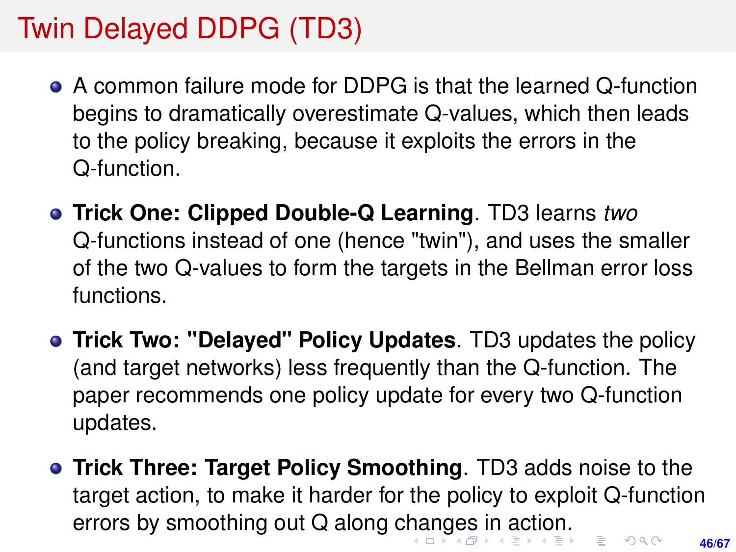# <span id="page-45-0"></span>Twin Delayed DDPG (TD3)

- A common failure mode for DDPG is that the learned Q-function begins to dramatically overestimate Q-values, which then leads to the policy breaking, because it exploits the errors in the Q-function.
- **Trick One: Clipped Double-Q Learning**. TD3 learns *two* Q-functions instead of one (hence "twin"), and uses the smaller of the two Q-values to form the targets in the Bellman error loss functions.
- **Trick Two: "Delayed" Policy Updates**. TD3 updates the policy (and target networks) less frequently than the Q-function. The paper recommends one policy update for every two Q-function updates.
- **Trick Three: Target Policy Smoothing**. TD3 adds noise to the target action, to make it harder for the policy to exploit Q-function errors by smoothing out Q along c[ha](#page-44-0)[ng](#page-46-0)[e](#page-44-0)[s](#page-45-0) [i](#page-46-0)[n a](#page-0-0)[ct](#page-66-0)[io](#page-0-0)[n.](#page-66-0) $\equiv$   $\Omega$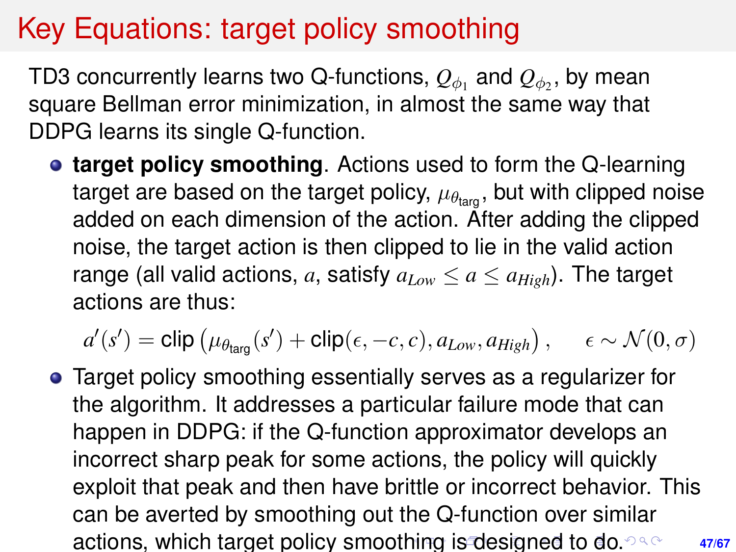## <span id="page-46-0"></span>Key Equations: target policy smoothing

TD3 concurrently learns two Q-functions,  $\mathcal{Q}_{\phi_1}$  and  $\mathcal{Q}_{\phi_2}$ , by mean square Bellman error minimization, in almost the same way that DDPG learns its single Q-function.

**• target policy smoothing**. Actions used to form the Q-learning target are based on the target policy,  $\mu_{\theta_{\text{tarn}}}$ , but with clipped noise added on each dimension of the action. After adding the clipped noise, the target action is then clipped to lie in the valid action range (all valid actions, a, satisfy  $a_{Low} \le a \le a_{High}$ ). The target actions are thus:

$$
a'(s') = \text{clip} \left( \mu_{\theta_{\text{targ}}}(s') + \text{clip}(\epsilon,-c,c), a_{\textit{Low}}, a_{\textit{High}} \right), \hspace{5mm} \epsilon \sim \mathcal{N}(0,\sigma)
$$

**47/67** Target policy smoothing essentially serves as a regularizer for the algorithm. It addresses a particular failure mode that can happen in DDPG: if the Q-function approximator develops an incorrect sharp peak for some actions, the policy will quickly exploit that peak and then have brittle or incorrect behavior. This can be averted by smoothing out the Q-function over similar actions, which target policy smoot[hin](#page-45-0)[g](#page-47-0) [is](#page-45-0) [d](#page-46-0)[e](#page-47-0)[si](#page-0-0)[gn](#page-66-0)[ed](#page-0-0) [t](#page-66-0)[o](#page-0-0) [do.](#page-66-0) 23.8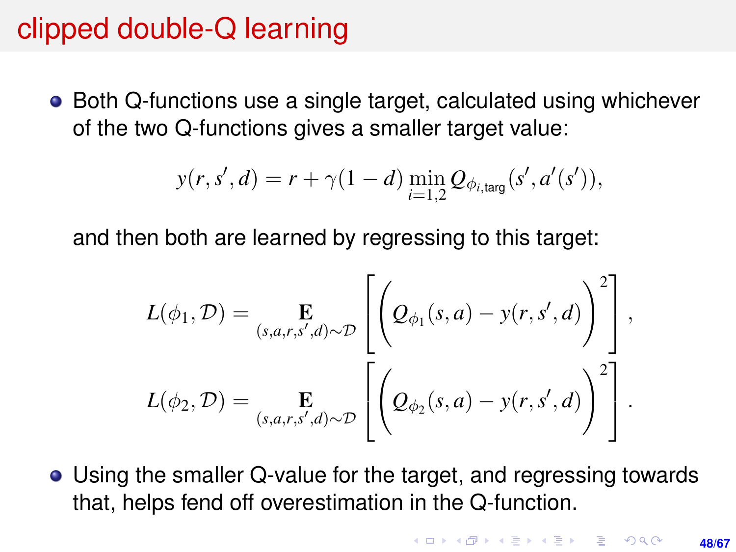## <span id="page-47-0"></span>clipped double-Q learning

• Both Q-functions use a single target, calculated using whichever of the two Q-functions gives a smaller target value:

$$
y(r, s', d) = r + \gamma(1 - d) \min_{i=1,2} Q_{\phi_{i, \text{targ}}}(s', a'(s')),
$$

and then both are learned by regressing to this target:

$$
L(\phi_1, \mathcal{D}) = \mathop{\mathbf{E}}_{(s,a,r,s',d)\sim\mathcal{D}} \left[ \left( Q_{\phi_1}(s,a) - y(r,s',d) \right)^2 \right],
$$
  

$$
L(\phi_2, \mathcal{D}) = \mathop{\mathbf{E}}_{(s,a,r,s',d)\sim\mathcal{D}} \left[ \left( Q_{\phi_2}(s,a) - y(r,s',d) \right)^2 \right].
$$

Using the smaller Q-value for the target, and regressing towards that, helps fend off overestimation in the Q-function.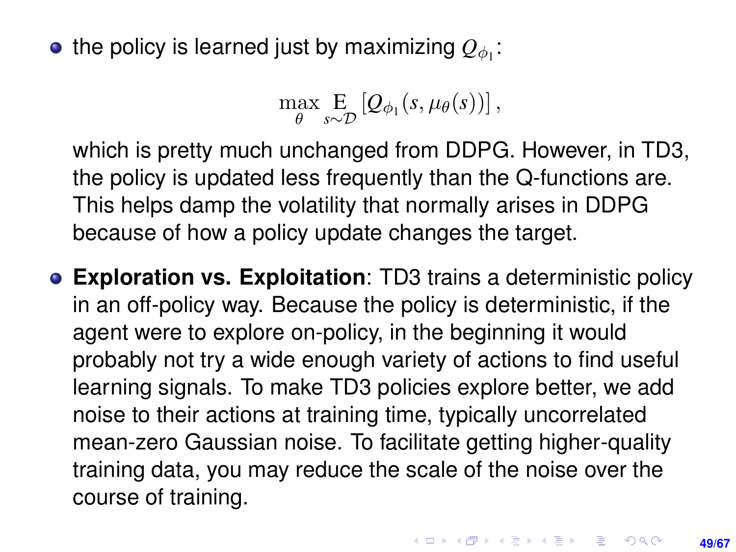the policy is learned just by maximizing  $\mathcal{Q}_{\phi_1}$ :

$$
\max_{\theta} \mathop{\mathbf{E}}_{s\sim\mathcal{D}}\left[Q_{\phi_1}(s,\mu_{\theta}(s))\right],
$$

which is pretty much unchanged from DDPG. However, in TD3, the policy is updated less frequently than the Q-functions are. This helps damp the volatility that normally arises in DDPG because of how a policy update changes the target.

**Exploration vs. Exploitation**: TD3 trains a deterministic policy in an off-policy way. Because the policy is deterministic, if the agent were to explore on-policy, in the beginning it would probably not try a wide enough variety of actions to find useful learning signals. To make TD3 policies explore better, we add noise to their actions at training time, typically uncorrelated mean-zero Gaussian noise. To facilitate getting higher-quality training data, you may reduce the scale of the noise over the course of training.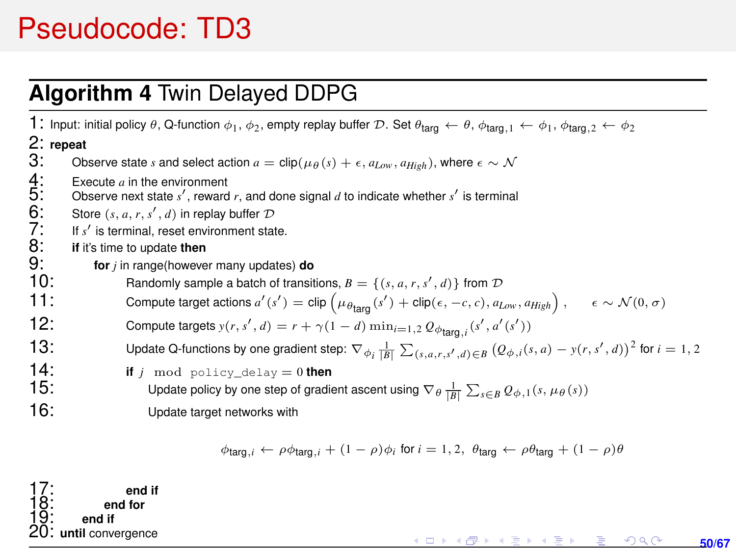## Pseudocode: TD3

#### **Algorithm 4** Twin Delayed DDPG

1: Input: initial policy  $\theta$ , Q-function  $\phi_1$ ,  $\phi_2$ , empty replay buffer D. Set  $\theta_{\text{targ}} \leftarrow \theta$ ,  $\phi_{\text{targ},1} \leftarrow \phi_1$ ,  $\phi_{\text{targ},2} \leftarrow \phi_2$ 2: **repeat** Observe state *s* and select action  $a = \text{clip}(\mu_A(s) + \epsilon, a_{Low}, a_{High})$ , where  $\epsilon \sim \mathcal{N}$ Execute  $a$  in the environment  $5:$  Observe next state  $s'$ , reward  $r$ , and done signal  $d$  to indicate whether  $s'$  is terminal 6: Store  $(s, a, r, s', d)$  in replay buffer  $D$ 4: 5: 6: 7: 8: 9:  $'$  is terminal, reset environment state. **if** it's time to update **then** 9: **for** *<sup>j</sup>* in range(however many updates) **do** 10: Randomly sample a batch of transitions,  $B = \{(s, a, r, s', d)\}$  from  $D$ 11: Compute target actions  $a'(s') = \text{clip}(\mu_{\theta_{\text{targ}}}(s') + \text{clip}(\epsilon, -c, c), a_{Low}, a_{High}), \quad \epsilon \sim \mathcal{N}(0, \sigma)$ 12: Compute targets  $y(r, s', d) = r + \gamma(1 - d) \min_{i=1,2} Q_{\phi_{\text{targ}},i}(s', a'(s'))$ 13: Update Q-functions by one gradient step:  $\nabla_{\phi_i} \frac{1}{|B|} \sum_{(s,a,r,s',d) \in B} (Q_{\phi,i}(s,a) - y(r,s',d))^2$  for  $i = 1,2$ **14: if**  $j$  mod policy\_delay = 0 **then**<br>**15: lindate nolicy by one step of gradic** 15: Update policy by one step of gradient ascent using  $\nabla_\theta \frac{1}{|B|} \sum_{s \in B} Q_{\phi,1}(s, \mu_\theta(s))$ 16: Update target networks with  $\phi_{\text{targ},i} \leftarrow \rho \phi_{\text{targ},i} + (1 - \rho) \phi_i$  for  $i = 1, 2, \theta_{\text{targ}} \leftarrow \rho \theta_{\text{targ}} + (1 - \rho) \theta$ 

end if end for *1*:<br>8: end if<br>9: end if until convergence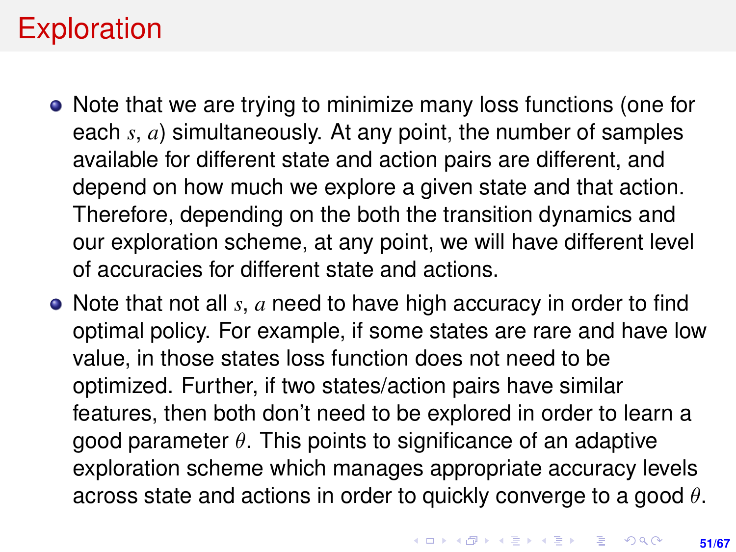## Exploration

- Note that we are trying to minimize many loss functions (one for each *s*, *a*) simultaneously. At any point, the number of samples available for different state and action pairs are different, and depend on how much we explore a given state and that action. Therefore, depending on the both the transition dynamics and our exploration scheme, at any point, we will have different level of accuracies for different state and actions.
- Note that not all *s*, *a* need to have high accuracy in order to find optimal policy. For example, if some states are rare and have low value, in those states loss function does not need to be optimized. Further, if two states/action pairs have similar features, then both don't need to be explored in order to learn a good parameter  $\theta$ . This points to significance of an adaptive exploration scheme which manages appropriate accuracy levels across state and actions in order to quickly converge to a good  $\theta$ .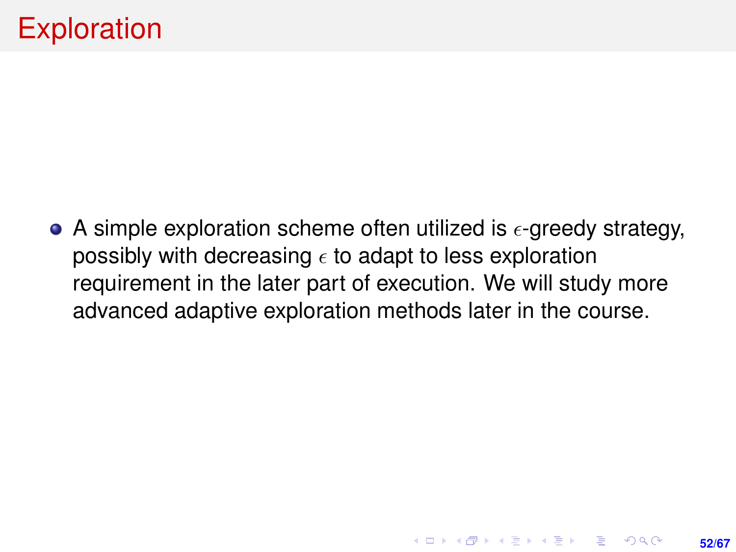## **Exploration**

• A simple exploration scheme often utilized is  $\epsilon$ -greedy strategy, possibly with decreasing  $\epsilon$  to adapt to less exploration requirement in the later part of execution. We will study more advanced adaptive exploration methods later in the course.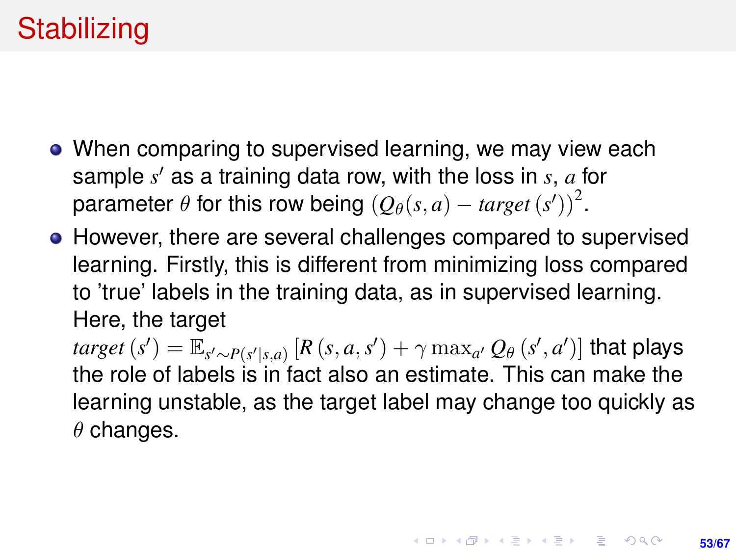# **Stabilizing**

- When comparing to supervised learning, we may view each sample *s'* as a training data row, with the loss in *s*, *a* for parameter  $\theta$  for this row being  $(Q_{\theta}(s, a) - target(s'))^2$ .
- However, there are several challenges compared to supervised learning. Firstly, this is different from minimizing loss compared to 'true' labels in the training data, as in supervised learning. Here, the target

 $\iota$ *target*  $(s') = \mathbb{E}_{s' \sim P(s'|s,a)} \left[R\left(s, a, s'\right) + \gamma \max_{a'} Q_{\theta}\left(s', a'\right)\right]$  that plays the role of labels is in fact also an estimate. This can make the learning unstable, as the target label may change too quickly as  $\theta$  changes.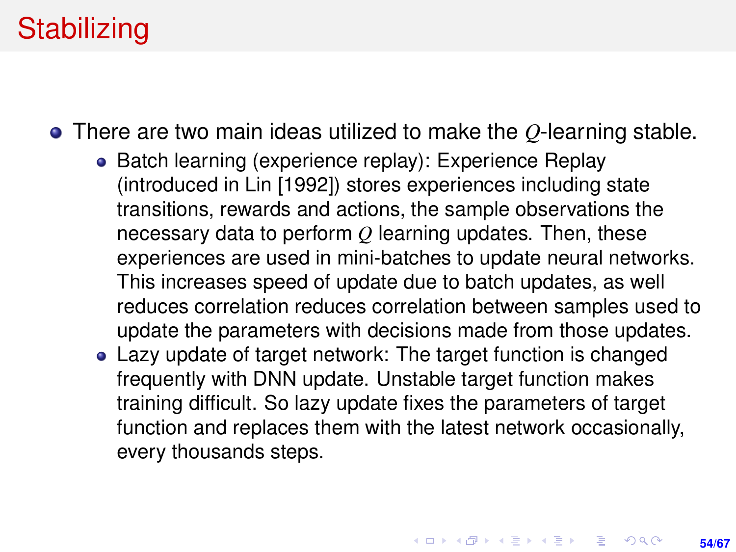## **Stabilizing**

There are two main ideas utilized to make the *Q*-learning stable.

- Batch learning (experience replay): Experience Replay (introduced in Lin [1992]) stores experiences including state transitions, rewards and actions, the sample observations the necessary data to perform *Q* learning updates. Then, these experiences are used in mini-batches to update neural networks. This increases speed of update due to batch updates, as well reduces correlation reduces correlation between samples used to update the parameters with decisions made from those updates.
- Lazy update of target network: The target function is changed frequently with DNN update. Unstable target function makes training difficult. So lazy update fixes the parameters of target function and replaces them with the latest network occasionally, every thousands steps.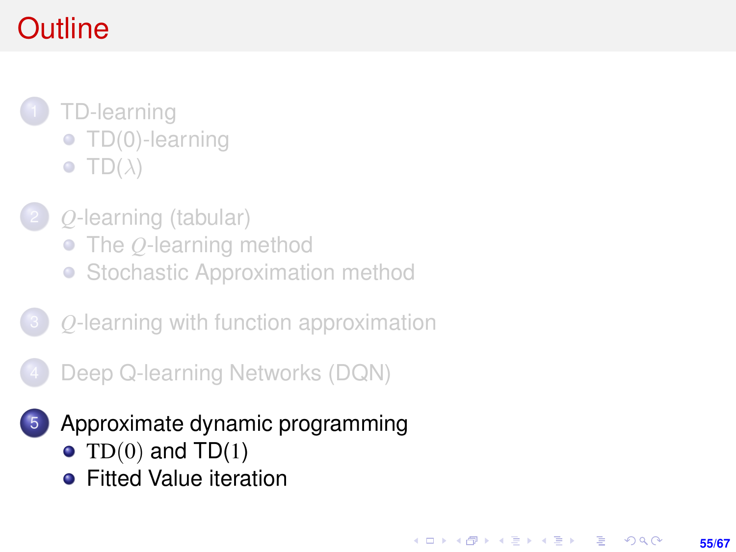# <span id="page-54-0"></span>**Outline**

- 1 [TD-learning](#page-1-0) **• [TD\(0\)-learning](#page-4-0)**  $\bullet$  [TD\(](#page-16-0) $\lambda$ )
	- 2 *Q*[-learning \(tabular\)](#page-19-0)
		- The *Q*[-learning method](#page-20-0)
		- [Stochastic Approximation method](#page-27-0)
- 3 *Q*[-learning with function approximation](#page-29-0)
	- [Deep Q-learning Networks \(DQN\)](#page-34-0)
	- 5 [Approximate dynamic programming](#page-54-0)

**55/67**

KORK ERKER ERKER

- TD $(0)$  and TD $(1)$
- **•** [Fitted Value iteration](#page-57-0)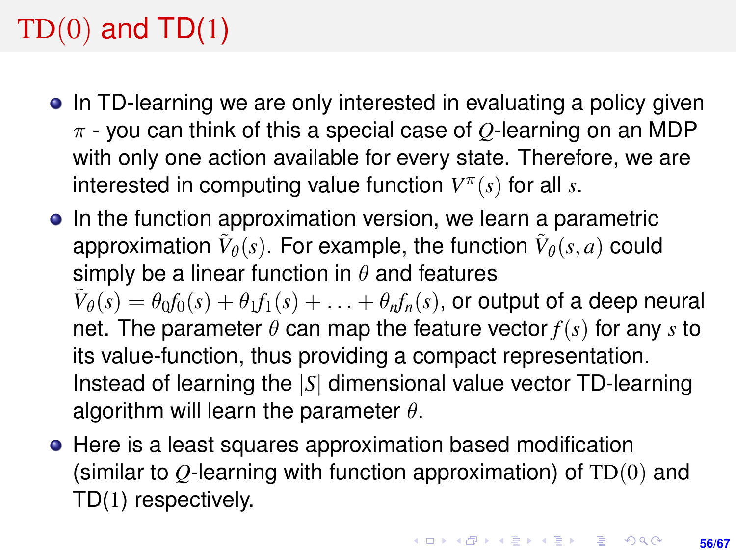# <span id="page-55-0"></span> $TD(0)$  and  $TD(1)$

- In TD-learning we are only interested in evaluating a policy given π - you can think of this a special case of *Q*-learning on an MDP with only one action available for every state. Therefore, we are interested in computing value function *V* π (*s*) for all *s*.
- In the function approximation version, we learn a parametric approximation  $\tilde{V}_{\theta}(s)$ . For example, the function  $\tilde{V}_{\theta}(s, a)$  could simply be a linear function in  $\theta$  and features  $\tilde{V}_{\theta}(s) = \theta_0 f_0(s) + \theta_1 f_1(s) + \ldots + \theta_n f_n(s),$  or output of a deep neural net. The parameter  $\theta$  can map the feature vector  $f(s)$  for any *s* to its value-function, thus providing a compact representation. Instead of learning the |*S*| dimensional value vector TD-learning algorithm will learn the parameter  $\theta$ .
- Here is a least squares approximation based modification (similar to *Q*-learning with function approximation) of TD(0) and TD(1) respectively.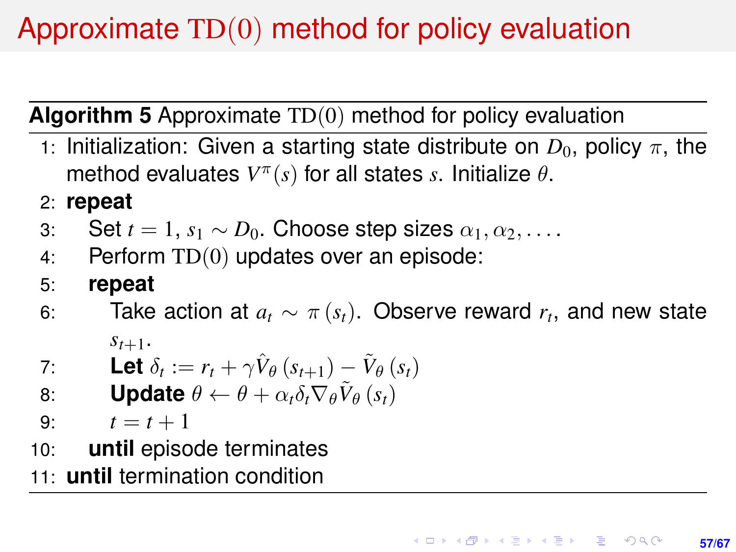# Approximate TD(0) method for policy evaluation

**Algorithm 5** Approximate TD(0) method for policy evaluation

- 1: Initialization: Given a starting state distribute on  $D_0$ , policy  $\pi$ , the method evaluates  $V^{\pi}(s)$  for all states *s*. Initialize  $\theta$ .
- 2: **repeat**
- 3: Set  $t = 1$ ,  $s_1 \sim D_0$ . Choose step sizes  $\alpha_1, \alpha_2, \ldots$ .
- 4: Perform TD(0) updates over an episode:
- 5: **repeat**
- 6: Take action at  $a_t \sim \pi(s_t)$ . Observe reward  $r_t$ , and new state  $s_{t+1}$ .

7: Let 
$$
\delta_t := r_t + \gamma \hat{V}_{\theta} (s_{t+1}) - \tilde{V}_{\theta} (s_t)
$$

- 8: **Update**  $\theta \leftarrow \theta + \alpha_t \delta_t \nabla_{\theta} \tilde{V}_{\theta} (s_t)$
- 9:  $t = t + 1$
- 10: **until** episode terminates
- 11: **until** termination condition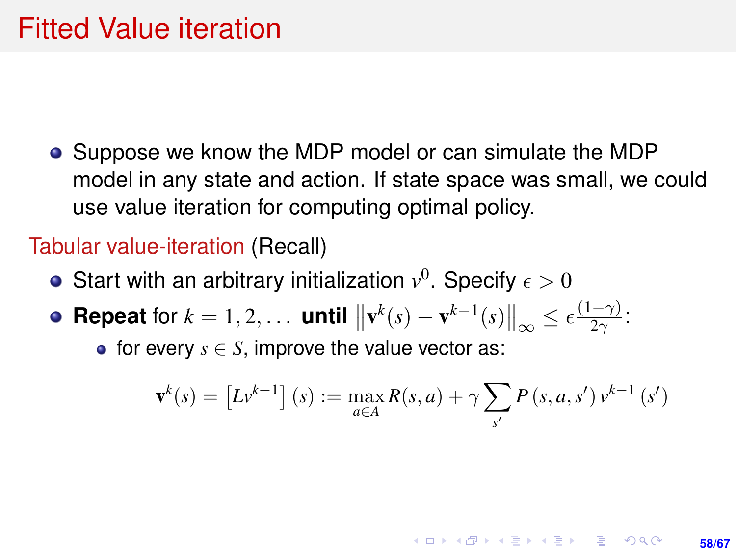<span id="page-57-0"></span>• Suppose we know the MDP model or can simulate the MDP model in any state and action. If state space was small, we could use value iteration for computing optimal policy.

#### Tabular value-iteration (Recall)

- Start with an arbitrary initialization  $v^0$ . Specify  $\epsilon > 0$
- **Repeat** for  $k = 1, 2, ...$  **until**  $\left\| \mathbf{v}^k(s) \mathbf{v}^{k-1}(s) \right\|_{\infty} \leq \epsilon \frac{(1-\gamma)}{2\gamma}$  $\frac{-\gamma_j}{2\gamma}$ :

• for every  $s \in S$ , improve the value vector as:

$$
\mathbf{v}^{k}(s) = \left[Lv^{k-1}\right](s) := \max_{a \in A} R(s, a) + \gamma \sum_{s'} P(s, a, s') v^{k-1}(s')
$$

**KORKARK A BIK BIKA A GA A GA A GA A BIKA A BIKA A BIKA A BIKA A BIKA A BIKA A BIKA A BIKA A BIKA A BIKA A BIKA** 

**58/67**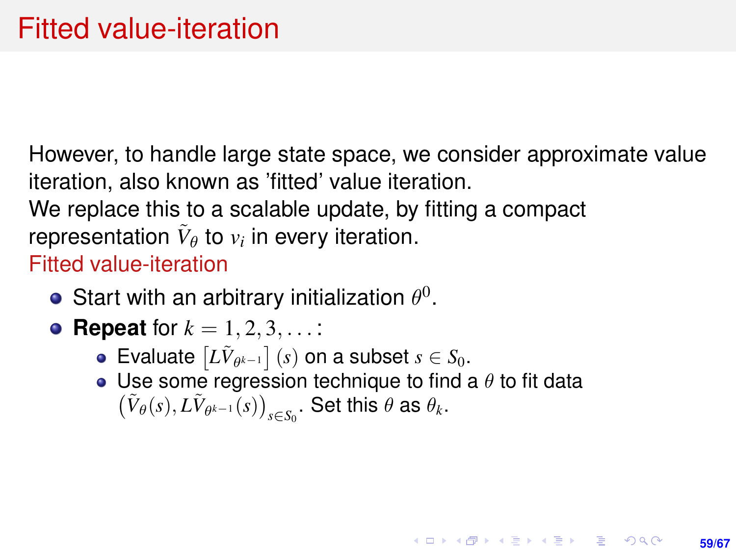However, to handle large state space, we consider approximate value iteration, also known as 'fitted' value iteration. We replace this to a scalable update, by fitting a compact representation  $\tilde{V}_{\theta}$  to  $v_i$  in every iteration. Fitted value-iteration

- Start with an arbitrary initialization  $\theta^0$ .
- **Repeat** for  $k = 1, 2, 3, ...$ :
	- Evaluate  $\left[ L\tilde{V}_{\theta^{k-1}} \right]$  (*s*) on a subset  $s \in S_0$ .
	- Use some regression technique to find a  $\theta$  to fit data  $(\tilde{V}_{\theta}(s), L\tilde{V}_{\theta^{k-1}}(s))_{s \in S_0}$ . Set this  $\theta$  as  $\theta_k$ .

**59/67**

**KORKAR KERKER E KORA**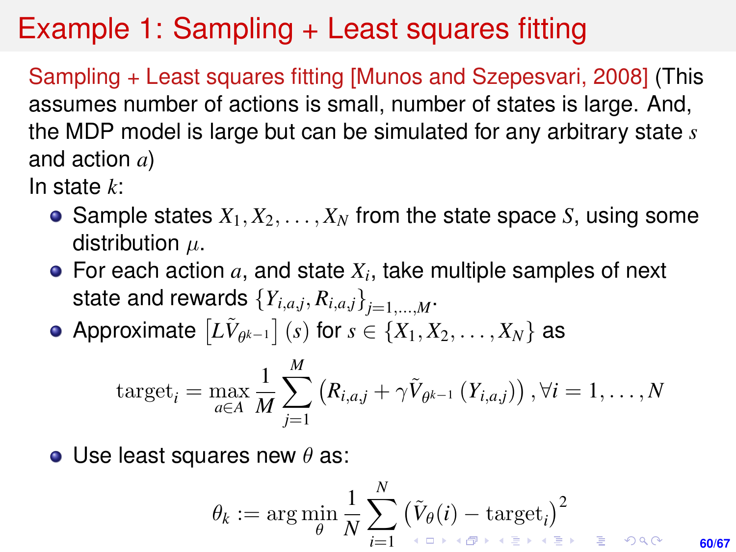## Example 1: Sampling + Least squares fitting

Sampling + Least squares fitting [Munos and Szepesvari, 2008] (This assumes number of actions is small, number of states is large. And, the MDP model is large but can be simulated for any arbitrary state *s* and action *a*)

In state *k*:

- Sample states  $X_1, X_2, \ldots, X_N$  from the state space *S*, using some distribution  $\mu$ .
- For each action  $a$ , and state  $X_i$ , take multiple samples of next state and rewards  $\left\{Y_{i,a,j}, R_{i,a,j}\right\}_{j=1,...,M}.$
- Approximate  $\left[ L\tilde{V}_{\theta^{k-1}} \right]$   $(s)$  for  $s \in \{X_1, X_2, \ldots, X_N\}$  as

$$
\text{target}_{i} = \max_{a \in A} \frac{1}{M} \sum_{j=1}^{M} (R_{i,a,j} + \gamma \tilde{V}_{\theta^{k-1}}(Y_{i,a,j})) \,, \forall i = 1, \ldots, N
$$

• Use least squares new  $\theta$  as:

$$
\theta_k := \arg\min_{\theta} \frac{1}{N} \sum_{i=1}^N \big(\tilde{V}_{\theta}(i) - \operatorname{target}_i \big)^2_{\text{max}} \quad \ \ \text{for all } \, i \in \mathbb{N} \text{ such that } \theta_i \in \mathbb{N} \text{ such that } \theta_i \in \mathbb{N} \text{ such that } \theta_i \in \mathbb{N} \text{ such that } \theta_i \in \mathbb{N} \text{ such that } \theta_i \in \mathbb{N} \text{ such that } \theta_i \in \mathbb{N} \text{ such that } \theta_i \in \mathbb{N} \text{ such that } \theta_i \in \mathbb{N} \text{ such that } \theta_i \in \mathbb{N} \text{ such that } \theta_i \in \mathbb{N} \text{ such that } \theta_i \in \mathbb{N} \text{ such that } \theta_i \in \mathbb{N} \text{ such that } \theta_i \in \mathbb{N} \text{ such that } \theta_i \in \mathbb{N} \text{ such that } \theta_i \in \mathbb{N} \text{ such that } \theta_i \in \mathbb{N} \text{ such that } \theta_i \in \mathbb{N} \text{ such that } \theta_i \in \mathbb{N} \text{ such that } \theta_i \in \mathbb{N} \text{ such that } \theta_i \in \mathbb{N} \text{ such that } \theta_i \in \mathbb{N} \text{ such that } \theta_i \in \mathbb{N} \text{ such that } \theta_i \in \mathbb{N} \text{ such that } \theta_i \in \mathbb{N} \text{ such that } \theta_i \in \mathbb{N} \text{ such that } \theta_i \in \mathbb{N} \text{ such that } \theta_i \in \mathbb{N} \text{ such that } \theta_i \in \mathbb{N} \text{ such that } \theta_i \in \mathbb{N} \text{ such that } \theta_i \in \mathbb{N} \text{ such that } \theta_i \in \mathbb{N} \text{ such that } \theta_i \in \mathbb{N} \text{ such that } \theta_i \in \mathbb{N} \text{ such that } \theta_i \in \mathbb{N} \text{ such that } \theta_i \in \mathbb{N} \text{ such that } \theta_i \in \mathbb{N} \text{ such that } \theta_i \in \mathbb{N} \text{ such that } \theta_i \in \mathbb{N} \text{ such that } \theta_i \in \mathbb{N} \text{ such that } \theta_i \in \mathbb{
$$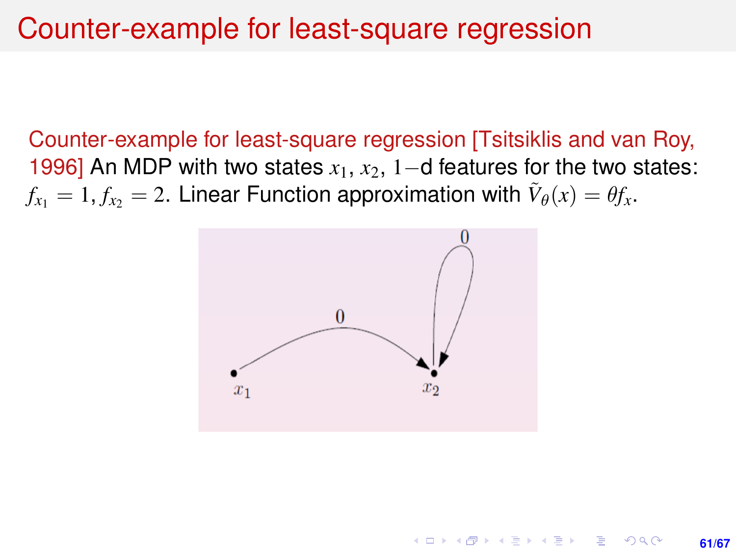#### Counter-example for least-square regression

Counter-example for least-square regression [Tsitsiklis and van Roy, 1996] An MDP with two states *x*1, *x*2, 1−d features for the two states:  $f_{x_1} = 1, f_{x_2} = 2$ . Linear Function approximation with  $\tilde{V}_\theta(x) = \theta f_x.$ 



K ロンス 御 > スミンス ミンニミ

**61/67**

 $2Q$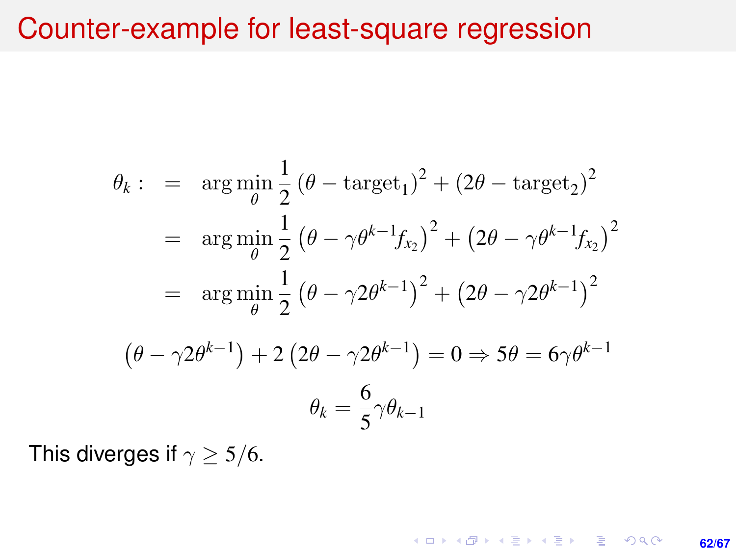#### Counter-example for least-square regression

$$
\theta_k: = \arg \min_{\theta} \frac{1}{2} (\theta - \text{target}_1)^2 + (2\theta - \text{target}_2)^2
$$
  
=  $\arg \min_{\theta} \frac{1}{2} (\theta - \gamma \theta^{k-1} f_{x_2})^2 + (2\theta - \gamma \theta^{k-1} f_{x_2})^2$   
=  $\arg \min_{\theta} \frac{1}{2} (\theta - \gamma 2\theta^{k-1})^2 + (2\theta - \gamma 2\theta^{k-1})^2$   
 $(\theta - \gamma 2\theta^{k-1}) + 2 (2\theta - \gamma 2\theta^{k-1}) = 0 \Rightarrow 5\theta = 6\gamma \theta^{k-1}$   
 $\theta_k = \frac{6}{5} \gamma \theta_{k-1}$ 

**62/67**

K ロ ▶ K @ ▶ K 할 ▶ K 할 ▶ 이 할 → 9 Q @

This diverges if  $\gamma \geq 5/6$ .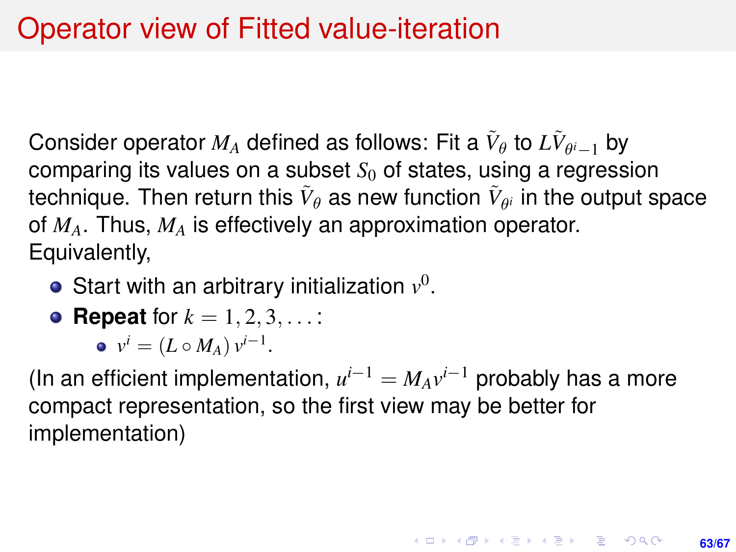Consider operator  $M_A$  defined as follows: Fit a  $\tilde{V}_{\theta}$  to  $L\tilde{V}_{\theta^i-1}$  by comparing its values on a subset  $S<sub>0</sub>$  of states, using a regression technique. Then return this  $\tilde{V}_\theta$  as new function  $\tilde{V}_{\theta^i}$  in the output space of *MA*. Thus, *M<sup>A</sup>* is effectively an approximation operator. Equivalently,

Start with an arbitrary initialization  $v^0$ .

• Repeat for 
$$
k = 1, 2, 3, ...
$$
:

$$
\bullet \ \ v^i = (L \circ M_A) \, v^{i-1}.
$$

(In an efficient implementation,  $u^{i-1} = M_A v^{i-1}$  probably has a more compact representation, so the first view may be better for implementation)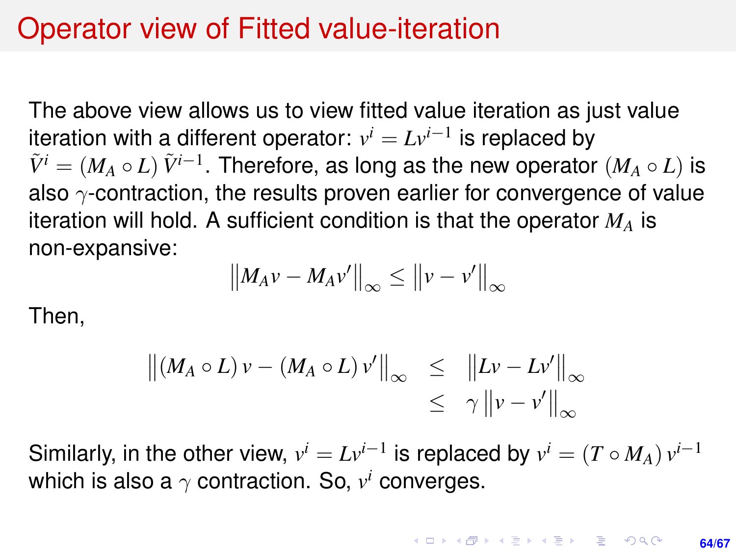#### Operator view of Fitted value-iteration

The above view allows us to view fitted value iteration as just value iteration with a different operator:  $v^i = L v^{i-1}$  is replaced by  $\tilde{V}^i = (M_A \circ L) \ \tilde{V}^{i-1}.$  Therefore, as long as the new operator  $(M_A \circ L)$  is also  $\gamma$ -contraction, the results proven earlier for convergence of value iteration will hold. A sufficient condition is that the operator *M<sup>A</sup>* is non-expansive:

$$
\left\|M_A v - M_A v'\right\|_{\infty} \leq \left\|v - v'\right\|_{\infty}
$$

Then,

$$
\left\| (M_A \circ L) v - (M_A \circ L) v' \right\|_{\infty} \leq \| Lv - Lv' \|_{\infty}
$$
  
\$\leq \gamma \|\nu - v'\|\_{\infty}\$

Similarly, in the other view,  $v^i = Lv^{i-1}$  is replaced by  $v^i = (T \circ M_A) v^{i-1}$ which is also a  $\gamma$  contraction. So,  $v^i$  converges.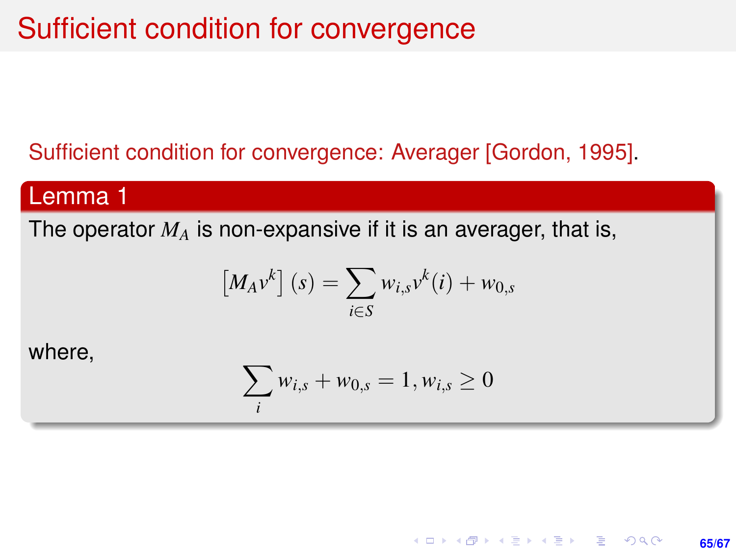### Sufficient condition for convergence

#### Sufficient condition for convergence: Averager [Gordon, 1995].

#### Lemma 1

The operator *M<sup>A</sup>* is non-expansive if it is an averager, that is,

$$
[M_A v^k](s) = \sum_{i \in S} w_{i,s} v^k(i) + w_{0,s}
$$

where,

$$
\sum_{i} w_{i,s} + w_{0,s} = 1, w_{i,s} \ge 0
$$

**65/67**

KORK ERKER ERKER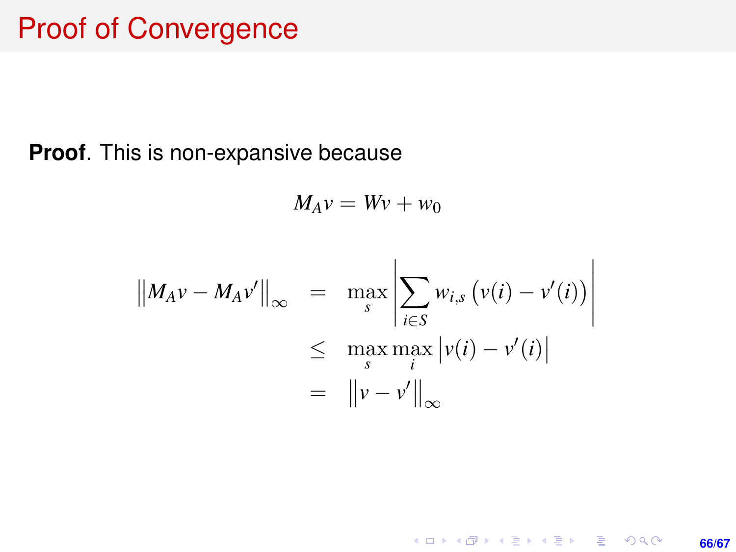**Proof**. This is non-expansive because

$$
M_A v = Wv + w_0
$$

$$
||M_A v - M_A v'||_{\infty} = \max_{s} \left| \sum_{i \in S} w_{i,s} (v(i) - v'(i)) \right|
$$
  

$$
\leq \max_{s} \max_{i} |v(i) - v'(i)|
$$
  

$$
= ||v - v'||_{\infty}
$$

**66/67**

K ロ X (日) X (日) X (日) X (日) X (日) X (日) X (日) X (日) X (日) X (日) X (日)